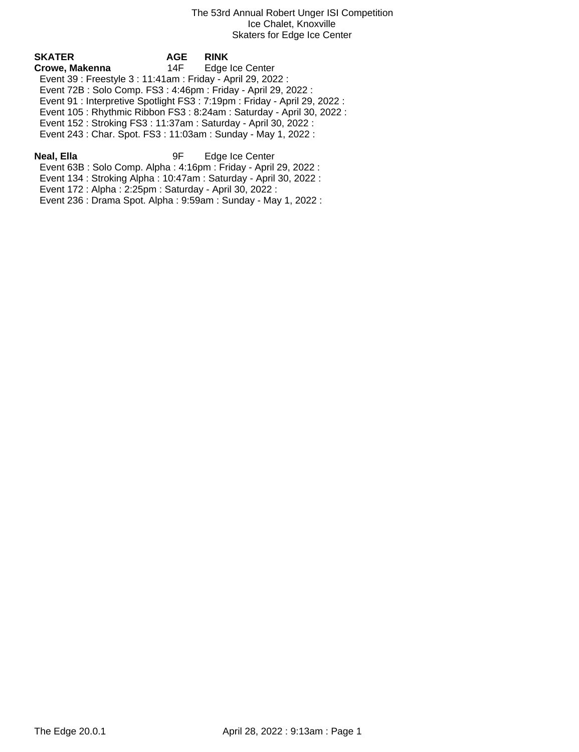| SKATER                                                                     | <b>AGE</b> | <b>RINK</b>     |  |
|----------------------------------------------------------------------------|------------|-----------------|--|
| Crowe, Makenna                                                             | 14F        | Edge Ice Center |  |
| Event 39 : Freestyle 3 : 11:41am : Friday - April 29, 2022 :               |            |                 |  |
| Event 72B: Solo Comp. FS3: 4:46pm: Friday - April 29, 2022:                |            |                 |  |
| Event 91 : Interpretive Spotlight FS3 : 7:19pm : Friday - April 29, 2022 : |            |                 |  |
| Event 105: Rhythmic Ribbon FS3: 8:24am: Saturday - April 30, 2022:         |            |                 |  |
| Event 152: Stroking FS3: 11:37am: Saturday - April 30, 2022:               |            |                 |  |
| Event 243 : Char. Spot. FS3 : 11:03am : Sunday - May 1, 2022 :             |            |                 |  |
|                                                                            |            |                 |  |

**Neal, Ella** 9F Edge Ice Center Event 63B : Solo Comp. Alpha : 4:16pm : Friday - April 29, 2022 :

Event 134 : Stroking Alpha : 10:47am : Saturday - April 30, 2022 :

Event 172 : Alpha : 2:25pm : Saturday - April 30, 2022 :

Event 236 : Drama Spot. Alpha : 9:59am : Sunday - May 1, 2022 :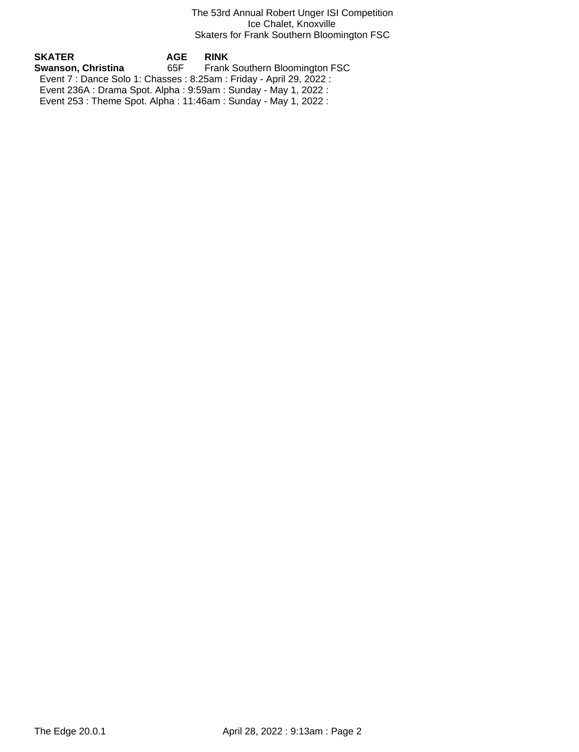# The 53rd Annual Robert Unger ISI Competition Ice Chalet, Knoxville Skaters for Frank Southern Bloomington FSC

| SKATER             | AGE   | <b>RINK</b>                                                          |
|--------------------|-------|----------------------------------------------------------------------|
| Swanson, Christina | 65F - | Frank Southern Bloomington FSC                                       |
|                    |       | Event 7 : Dance Solo 1: Chasses : 8:25am : Friday - April 29, 2022 : |
|                    |       | Event 236A : Drama Spot. Alpha : 9:59am : Sunday - May 1, 2022 :     |
|                    |       | Event 253 : Theme Spot. Alpha : 11:46am : Sunday - May 1, 2022 :     |
|                    |       |                                                                      |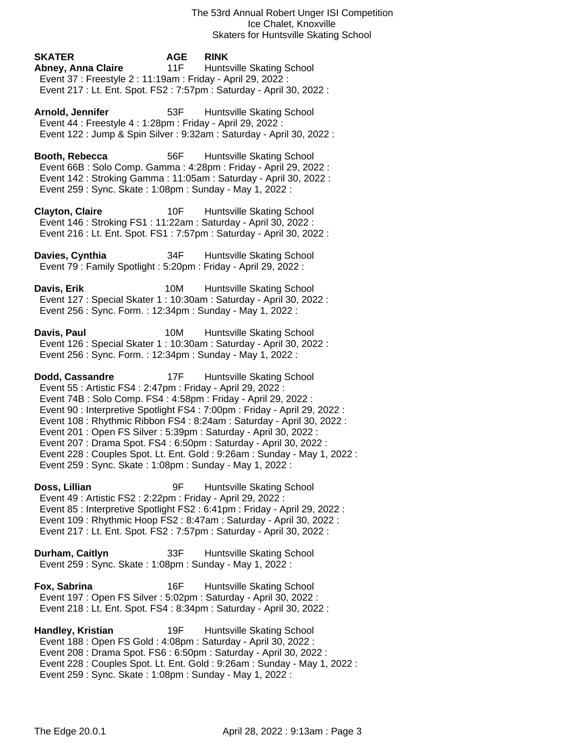**SKATER AGE RINK Abney, Anna Claire** 11F Huntsville Skating School Event 37 : Freestyle 2 : 11:19am : Friday - April 29, 2022 : Event 217 : Lt. Ent. Spot. FS2 : 7:57pm : Saturday - April 30, 2022 :

Arnold, Jennifer **53F** Huntsville Skating School Event 44 : Freestyle 4 : 1:28pm : Friday - April 29, 2022 : Event 122 : Jump & Spin Silver : 9:32am : Saturday - April 30, 2022 :

**Booth, Rebecca** 56F Huntsville Skating School Event 66B : Solo Comp. Gamma : 4:28pm : Friday - April 29, 2022 : Event 142 : Stroking Gamma : 11:05am : Saturday - April 30, 2022 : Event 259 : Sync. Skate : 1:08pm : Sunday - May 1, 2022 :

**Clayton, Claire** 10F Huntsville Skating School Event 146 : Stroking FS1 : 11:22am : Saturday - April 30, 2022 : Event 216 : Lt. Ent. Spot. FS1 : 7:57pm : Saturday - April 30, 2022 :

**Davies, Cynthia** 34F Huntsville Skating School Event 79 : Family Spotlight : 5:20pm : Friday - April 29, 2022 :

**Davis, Erik** 10M Huntsville Skating School Event 127 : Special Skater 1 : 10:30am : Saturday - April 30, 2022 : Event 256 : Sync. Form. : 12:34pm : Sunday - May 1, 2022 :

**Davis, Paul 10M** Huntsville Skating School Event 126 : Special Skater 1 : 10:30am : Saturday - April 30, 2022 : Event 256 : Sync. Form. : 12:34pm : Sunday - May 1, 2022 :

**Dodd, Cassandre** 17F Huntsville Skating School Event 55 : Artistic FS4 : 2:47pm : Friday - April 29, 2022 : Event 74B : Solo Comp. FS4 : 4:58pm : Friday - April 29, 2022 : Event 90 : Interpretive Spotlight FS4 : 7:00pm : Friday - April 29, 2022 : Event 108 : Rhythmic Ribbon FS4 : 8:24am : Saturday - April 30, 2022 : Event 201 : Open FS Silver : 5:39pm : Saturday - April 30, 2022 : Event 207 : Drama Spot. FS4 : 6:50pm : Saturday - April 30, 2022 : Event 228 : Couples Spot. Lt. Ent. Gold : 9:26am : Sunday - May 1, 2022 : Event 259 : Sync. Skate : 1:08pm : Sunday - May 1, 2022 :

**Doss, Lillian** 9F Huntsville Skating School Event 49 : Artistic FS2 : 2:22pm : Friday - April 29, 2022 : Event 85 : Interpretive Spotlight FS2 : 6:41pm : Friday - April 29, 2022 : Event 109 : Rhythmic Hoop FS2 : 8:47am : Saturday - April 30, 2022 : Event 217 : Lt. Ent. Spot. FS2 : 7:57pm : Saturday - April 30, 2022 :

**Durham, Caitlyn** 33F Huntsville Skating School Event 259 : Sync. Skate : 1:08pm : Sunday - May 1, 2022 :

**Fox, Sabrina** 16F Huntsville Skating School Event 197 : Open FS Silver : 5:02pm : Saturday - April 30, 2022 : Event 218 : Lt. Ent. Spot. FS4 : 8:34pm : Saturday - April 30, 2022 :

**Handley, Kristian** 19F Huntsville Skating School Event 188 : Open FS Gold : 4:08pm : Saturday - April 30, 2022 : Event 208 : Drama Spot. FS6 : 6:50pm : Saturday - April 30, 2022 : Event 228 : Couples Spot. Lt. Ent. Gold : 9:26am : Sunday - May 1, 2022 : Event 259 : Sync. Skate : 1:08pm : Sunday - May 1, 2022 :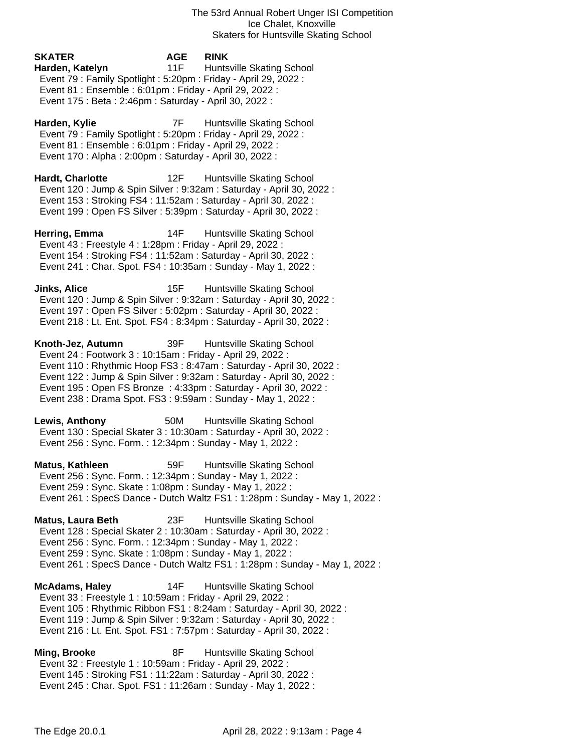# **SKATER AGE RINK Harden, Katelyn** 11F Huntsville Skating School Event 79 : Family Spotlight : 5:20pm : Friday - April 29, 2022 : Event 81 : Ensemble : 6:01pm : Friday - April 29, 2022 : Event 175 : Beta : 2:46pm : Saturday - April 30, 2022 :

**Harden, Kylie** 7F Huntsville Skating School Event 79 : Family Spotlight : 5:20pm : Friday - April 29, 2022 : Event 81 : Ensemble : 6:01pm : Friday - April 29, 2022 : Event 170 : Alpha : 2:00pm : Saturday - April 30, 2022 :

**Hardt, Charlotte** 12F Huntsville Skating School Event 120 : Jump & Spin Silver : 9:32am : Saturday - April 30, 2022 : Event 153 : Stroking FS4 : 11:52am : Saturday - April 30, 2022 : Event 199 : Open FS Silver : 5:39pm : Saturday - April 30, 2022 :

**Herring, Emma** 14F Huntsville Skating School Event 43 : Freestyle 4 : 1:28pm : Friday - April 29, 2022 : Event 154 : Stroking FS4 : 11:52am : Saturday - April 30, 2022 : Event 241 : Char. Spot. FS4 : 10:35am : Sunday - May 1, 2022 :

**Jinks, Alice** 15F Huntsville Skating School Event 120 : Jump & Spin Silver : 9:32am : Saturday - April 30, 2022 : Event 197 : Open FS Silver : 5:02pm : Saturday - April 30, 2022 : Event 218 : Lt. Ent. Spot. FS4 : 8:34pm : Saturday - April 30, 2022 :

**Knoth-Jez, Autumn** 39F Huntsville Skating School Event 24 : Footwork 3 : 10:15am : Friday - April 29, 2022 : Event 110 : Rhythmic Hoop FS3 : 8:47am : Saturday - April 30, 2022 : Event 122 : Jump & Spin Silver : 9:32am : Saturday - April 30, 2022 : Event 195 : Open FS Bronze : 4:33pm : Saturday - April 30, 2022 : Event 238 : Drama Spot. FS3 : 9:59am : Sunday - May 1, 2022 :

**Lewis, Anthony** 50M Huntsville Skating School Event 130 : Special Skater 3 : 10:30am : Saturday - April 30, 2022 : Event 256 : Sync. Form. : 12:34pm : Sunday - May 1, 2022 :

**Matus, Kathleen** 59F Huntsville Skating School Event 256 : Sync. Form. : 12:34pm : Sunday - May 1, 2022 : Event 259 : Sync. Skate : 1:08pm : Sunday - May 1, 2022 : Event 261 : SpecS Dance - Dutch Waltz FS1 : 1:28pm : Sunday - May 1, 2022 :

**Matus, Laura Beth** 23F Huntsville Skating School Event 128 : Special Skater 2 : 10:30am : Saturday - April 30, 2022 : Event 256 : Sync. Form. : 12:34pm : Sunday - May 1, 2022 : Event 259 : Sync. Skate : 1:08pm : Sunday - May 1, 2022 : Event 261 : SpecS Dance - Dutch Waltz FS1 : 1:28pm : Sunday - May 1, 2022 :

**McAdams, Haley** 14F Huntsville Skating School Event 33 : Freestyle 1 : 10:59am : Friday - April 29, 2022 : Event 105 : Rhythmic Ribbon FS1 : 8:24am : Saturday - April 30, 2022 : Event 119 : Jump & Spin Silver : 9:32am : Saturday - April 30, 2022 : Event 216 : Lt. Ent. Spot. FS1 : 7:57pm : Saturday - April 30, 2022 :

**Ming, Brooke** 8F Huntsville Skating School Event 32 : Freestyle 1 : 10:59am : Friday - April 29, 2022 : Event 145 : Stroking FS1 : 11:22am : Saturday - April 30, 2022 : Event 245 : Char. Spot. FS1 : 11:26am : Sunday - May 1, 2022 :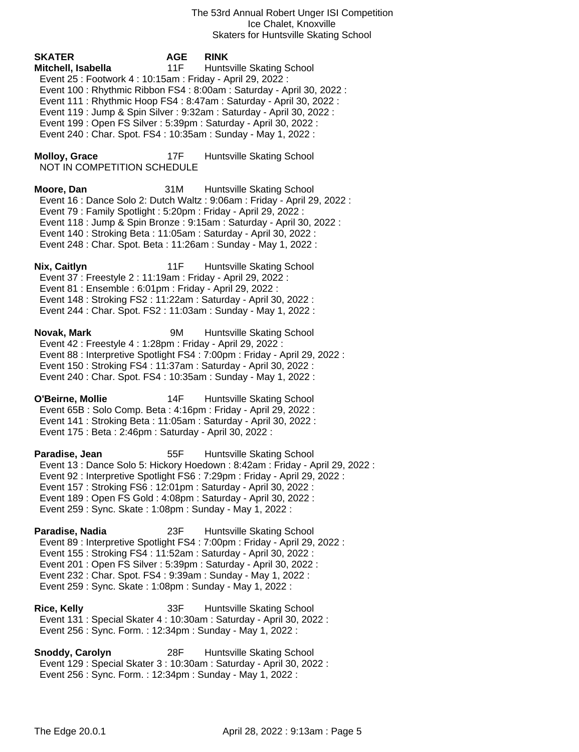The 53rd Annual Robert Unger ISI Competition Ice Chalet, Knoxville Skaters for Huntsville Skating School

**SKATER AGE RINK Mitchell, Isabella** 11F Huntsville Skating School Event 25 : Footwork 4 : 10:15am : Friday - April 29, 2022 : Event 100 : Rhythmic Ribbon FS4 : 8:00am : Saturday - April 30, 2022 : Event 111 : Rhythmic Hoop FS4 : 8:47am : Saturday - April 30, 2022 : Event 119 : Jump & Spin Silver : 9:32am : Saturday - April 30, 2022 : Event 199 : Open FS Silver : 5:39pm : Saturday - April 30, 2022 : Event 240 : Char. Spot. FS4 : 10:35am : Sunday - May 1, 2022 : **Molloy, Grace** 17F Huntsville Skating School NOT IN COMPETITION SCHEDULE **Moore, Dan** 31M Huntsville Skating School Event 16 : Dance Solo 2: Dutch Waltz : 9:06am : Friday - April 29, 2022 : Event 79 : Family Spotlight : 5:20pm : Friday - April 29, 2022 : Event 118 : Jump & Spin Bronze : 9:15am : Saturday - April 30, 2022 : Event 140 : Stroking Beta : 11:05am : Saturday - April 30, 2022 : Event 248 : Char. Spot. Beta : 11:26am : Sunday - May 1, 2022 : **Nix, Caitlyn** 11F Huntsville Skating School Event 37 : Freestyle 2 : 11:19am : Friday - April 29, 2022 : Event 81 : Ensemble : 6:01pm : Friday - April 29, 2022 : Event 148 : Stroking FS2 : 11:22am : Saturday - April 30, 2022 : Event 244 : Char. Spot. FS2 : 11:03am : Sunday - May 1, 2022 : **Novak, Mark** 9M Huntsville Skating School Event 42 : Freestyle 4 : 1:28pm : Friday - April 29, 2022 : Event 88 : Interpretive Spotlight FS4 : 7:00pm : Friday - April 29, 2022 : Event 150 : Stroking FS4 : 11:37am : Saturday - April 30, 2022 : Event 240 : Char. Spot. FS4 : 10:35am : Sunday - May 1, 2022 : **O'Beirne, Mollie** 14F Huntsville Skating School Event 65B : Solo Comp. Beta : 4:16pm : Friday - April 29, 2022 : Event 141 : Stroking Beta : 11:05am : Saturday - April 30, 2022 : Event 175 : Beta : 2:46pm : Saturday - April 30, 2022 : **Paradise, Jean** 55F Huntsville Skating School Event 13 : Dance Solo 5: Hickory Hoedown : 8:42am : Friday - April 29, 2022 : Event 92 : Interpretive Spotlight FS6 : 7:29pm : Friday - April 29, 2022 : Event 157 : Stroking FS6 : 12:01pm : Saturday - April 30, 2022 : Event 189 : Open FS Gold : 4:08pm : Saturday - April 30, 2022 : Event 259 : Sync. Skate : 1:08pm : Sunday - May 1, 2022 : **Paradise, Nadia** 23F Huntsville Skating School Event 89 : Interpretive Spotlight FS4 : 7:00pm : Friday - April 29, 2022 : Event 155 : Stroking FS4 : 11:52am : Saturday - April 30, 2022 : Event 201 : Open FS Silver : 5:39pm : Saturday - April 30, 2022 : Event 232 : Char. Spot. FS4 : 9:39am : Sunday - May 1, 2022 : Event 259 : Sync. Skate : 1:08pm : Sunday - May 1, 2022 : **Rice, Kelly** 33F Huntsville Skating School Event 131 : Special Skater 4 : 10:30am : Saturday - April 30, 2022 :

Event 256 : Sync. Form. : 12:34pm : Sunday - May 1, 2022 :

**Snoddy, Carolyn** 28F Huntsville Skating School Event 129 : Special Skater 3 : 10:30am : Saturday - April 30, 2022 : Event 256 : Sync. Form. : 12:34pm : Sunday - May 1, 2022 :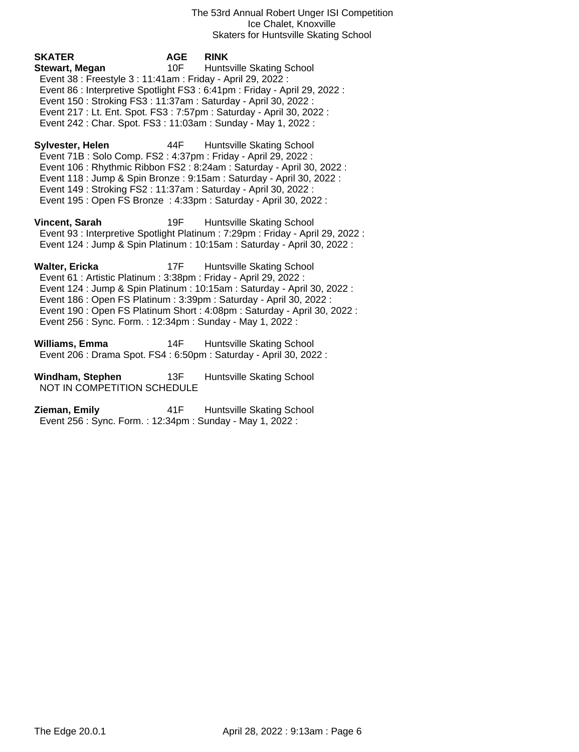The 53rd Annual Robert Unger ISI Competition Ice Chalet, Knoxville Skaters for Huntsville Skating School

**Stewart, Megan** 10F Huntsville Skating School Event 38 : Freestyle 3 : 11:41am : Friday - April 29, 2022 : Event 86 : Interpretive Spotlight FS3 : 6:41pm : Friday - April 29, 2022 : Event 150 : Stroking FS3 : 11:37am : Saturday - April 30, 2022 : Event 217 : Lt. Ent. Spot. FS3 : 7:57pm : Saturday - April 30, 2022 : Event 242 : Char. Spot. FS3 : 11:03am : Sunday - May 1, 2022 : **Sylvester, Helen** 44F Huntsville Skating School Event 71B : Solo Comp. FS2 : 4:37pm : Friday - April 29, 2022 : Event 106 : Rhythmic Ribbon FS2 : 8:24am : Saturday - April 30, 2022 : Event 118 : Jump & Spin Bronze : 9:15am : Saturday - April 30, 2022 : Event 149 : Stroking FS2 : 11:37am : Saturday - April 30, 2022 :

**SKATER AGE RINK**

Event 195 : Open FS Bronze : 4:33pm : Saturday - April 30, 2022 :

**Vincent, Sarah** 19F Huntsville Skating School Event 93 : Interpretive Spotlight Platinum : 7:29pm : Friday - April 29, 2022 : Event 124 : Jump & Spin Platinum : 10:15am : Saturday - April 30, 2022 :

**Walter, Ericka** 17F Huntsville Skating School Event 61 : Artistic Platinum : 3:38pm : Friday - April 29, 2022 : Event 124 : Jump & Spin Platinum : 10:15am : Saturday - April 30, 2022 : Event 186 : Open FS Platinum : 3:39pm : Saturday - April 30, 2022 : Event 190 : Open FS Platinum Short : 4:08pm : Saturday - April 30, 2022 : Event 256 : Sync. Form. : 12:34pm : Sunday - May 1, 2022 :

**Williams, Emma** 14F Huntsville Skating School Event 206 : Drama Spot. FS4 : 6:50pm : Saturday - April 30, 2022 :

**Windham, Stephen** 13F Huntsville Skating School NOT IN COMPETITION SCHEDULE

**Zieman, Emily 41F** Huntsville Skating School Event 256 : Sync. Form. : 12:34pm : Sunday - May 1, 2022 :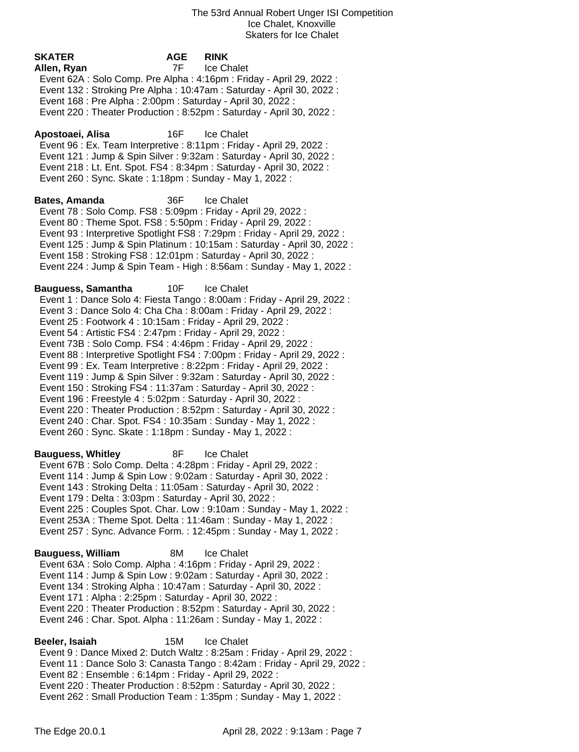| <b>SKATER</b>             | <b>AGE</b><br>7F                                                                                                                                                                                                                                                  | <b>RINK</b><br>Ice Chalet                                                                                                                                                                                                                                                                                                                                                                                                                                                                                                                                                                                                                                                        |
|---------------------------|-------------------------------------------------------------------------------------------------------------------------------------------------------------------------------------------------------------------------------------------------------------------|----------------------------------------------------------------------------------------------------------------------------------------------------------------------------------------------------------------------------------------------------------------------------------------------------------------------------------------------------------------------------------------------------------------------------------------------------------------------------------------------------------------------------------------------------------------------------------------------------------------------------------------------------------------------------------|
| Allen, Ryan               | Event 168 : Pre Alpha : 2:00pm : Saturday - April 30, 2022 :                                                                                                                                                                                                      | Event 62A : Solo Comp. Pre Alpha : 4:16pm : Friday - April 29, 2022 :<br>Event 132: Stroking Pre Alpha: 10:47am: Saturday - April 30, 2022:<br>Event 220 : Theater Production : 8:52pm : Saturday - April 30, 2022 :                                                                                                                                                                                                                                                                                                                                                                                                                                                             |
| Apostoaei, Alisa          | 16F<br>Event 260 : Sync. Skate : 1:18pm : Sunday - May 1, 2022 :                                                                                                                                                                                                  | Ice Chalet<br>Event 96 : Ex. Team Interpretive : 8:11pm : Friday - April 29, 2022 :<br>Event 121 : Jump & Spin Silver : 9:32am : Saturday - April 30, 2022 :<br>Event 218 : Lt. Ent. Spot. FS4 : 8:34pm : Saturday - April 30, 2022 :                                                                                                                                                                                                                                                                                                                                                                                                                                            |
| <b>Bates, Amanda</b>      | 36F<br>Event 78 : Solo Comp. FS8 : 5:09pm : Friday - April 29, 2022 :                                                                                                                                                                                             | Ice Chalet<br>Event 80 : Theme Spot. FS8 : 5:50pm : Friday - April 29, 2022 :<br>Event 93 : Interpretive Spotlight FS8 : 7:29pm : Friday - April 29, 2022 :<br>Event 125 : Jump & Spin Platinum : 10:15am : Saturday - April 30, 2022 :<br>Event 158 : Stroking FS8 : 12:01pm : Saturday - April 30, 2022 :<br>Event 224 : Jump & Spin Team - High : 8:56am : Sunday - May 1, 2022 :                                                                                                                                                                                                                                                                                             |
| <b>Bauguess, Samantha</b> | 10F<br>Event 25 : Footwork 4 : 10:15am : Friday - April 29, 2022 :<br>Event 54 : Artistic FS4 : 2:47pm : Friday - April 29, 2022 :<br>Event 196 : Freestyle 4 : 5:02pm : Saturday - April 30, 2022 :<br>Event 260 : Sync. Skate : 1:18pm : Sunday - May 1, 2022 : | <b>Ice Chalet</b><br>Event 1 : Dance Solo 4: Fiesta Tango : 8:00am : Friday - April 29, 2022 :<br>Event 3 : Dance Solo 4: Cha Cha : 8:00am : Friday - April 29, 2022 :<br>Event 73B: Solo Comp. FS4: 4:46pm: Friday - April 29, 2022:<br>Event 88 : Interpretive Spotlight FS4 : 7:00pm : Friday - April 29, 2022 :<br>Event 99 : Ex. Team Interpretive : 8:22pm : Friday - April 29, 2022 :<br>Event 119 : Jump & Spin Silver : 9:32am : Saturday - April 30, 2022 :<br>Event 150: Stroking FS4: 11:37am: Saturday - April 30, 2022:<br>Event 220 : Theater Production : 8:52pm : Saturday - April 30, 2022 :<br>Event 240 : Char. Spot. FS4 : 10:35am : Sunday - May 1, 2022 : |
| <b>Bauguess, Whitley</b>  | 8F<br>Event 179 : Delta : 3:03pm : Saturday - April 30, 2022 :                                                                                                                                                                                                    | Ice Chalet<br>Event 67B: Solo Comp. Delta: 4:28pm: Friday - April 29, 2022:<br>Event 114 : Jump & Spin Low : 9:02am : Saturday - April 30, 2022 :<br>Event 143: Stroking Delta: 11:05am: Saturday - April 30, 2022:<br>Event 225 : Couples Spot. Char. Low : 9:10am : Sunday - May 1, 2022 :<br>Event 253A : Theme Spot. Delta : 11:46am : Sunday - May 1, 2022 :<br>Event 257 : Sync. Advance Form. : 12:45pm : Sunday - May 1, 2022 :                                                                                                                                                                                                                                          |
| <b>Bauguess, William</b>  | 8M<br>Event 171 : Alpha : 2:25pm : Saturday - April 30, 2022 :                                                                                                                                                                                                    | Ice Chalet<br>Event 63A : Solo Comp. Alpha : 4:16pm : Friday - April 29, 2022 :<br>Event 114 : Jump & Spin Low : 9:02am : Saturday - April 30, 2022 :<br>Event 134: Stroking Alpha: 10:47am: Saturday - April 30, 2022:<br>Event 220 : Theater Production : 8:52pm : Saturday - April 30, 2022 :<br>Event 246 : Char. Spot. Alpha : 11:26am : Sunday - May 1, 2022 :                                                                                                                                                                                                                                                                                                             |
| Beeler, Isaiah            | 15M                                                                                                                                                                                                                                                               | Ice Chalet                                                                                                                                                                                                                                                                                                                                                                                                                                                                                                                                                                                                                                                                       |

 Event 9 : Dance Mixed 2: Dutch Waltz : 8:25am : Friday - April 29, 2022 : Event 11 : Dance Solo 3: Canasta Tango : 8:42am : Friday - April 29, 2022 : Event 82 : Ensemble : 6:14pm : Friday - April 29, 2022 : Event 220 : Theater Production : 8:52pm : Saturday - April 30, 2022 : Event 262 : Small Production Team : 1:35pm : Sunday - May 1, 2022 :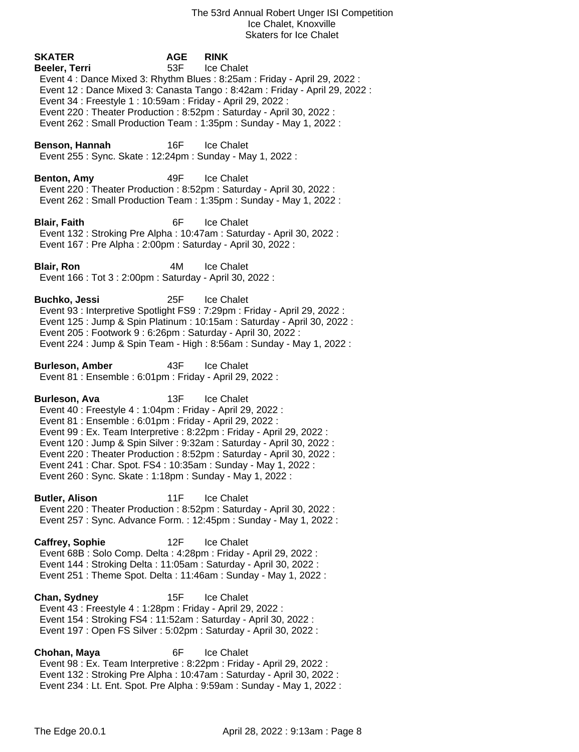**SKATER AGE RINK Beeler, Terri** 53F Ice Chalet Event 4 : Dance Mixed 3: Rhythm Blues : 8:25am : Friday - April 29, 2022 : Event 12 : Dance Mixed 3: Canasta Tango : 8:42am : Friday - April 29, 2022 : Event 34 : Freestyle 1 : 10:59am : Friday - April 29, 2022 : Event 220 : Theater Production : 8:52pm : Saturday - April 30, 2022 : Event 262 : Small Production Team : 1:35pm : Sunday - May 1, 2022 : **Benson, Hannah** 16F Ice Chalet Event 255 : Sync. Skate : 12:24pm : Sunday - May 1, 2022 : **Benton, Amy** 49F Ice Chalet Event 220 : Theater Production : 8:52pm : Saturday - April 30, 2022 : Event 262 : Small Production Team : 1:35pm : Sunday - May 1, 2022 : **Blair, Faith** 6F Ice Chalet Event 132 : Stroking Pre Alpha : 10:47am : Saturday - April 30, 2022 : Event 167 : Pre Alpha : 2:00pm : Saturday - April 30, 2022 : **Blair, Ron** 4M Ice Chalet Event 166 : Tot 3 : 2:00pm : Saturday - April 30, 2022 : **Buchko, Jessi** 25F Ice Chalet Event 93 : Interpretive Spotlight FS9 : 7:29pm : Friday - April 29, 2022 : Event 125 : Jump & Spin Platinum : 10:15am : Saturday - April 30, 2022 : Event 205 : Footwork 9 : 6:26pm : Saturday - April 30, 2022 : Event 224 : Jump & Spin Team - High : 8:56am : Sunday - May 1, 2022 : **Burleson, Amber** 43F Ice Chalet Event 81 : Ensemble : 6:01pm : Friday - April 29, 2022 : **Burleson, Ava** 13F Ice Chalet Event 40 : Freestyle 4 : 1:04pm : Friday - April 29, 2022 : Event 81 : Ensemble : 6:01pm : Friday - April 29, 2022 : Event 99 : Ex. Team Interpretive : 8:22pm : Friday - April 29, 2022 : Event 120 : Jump & Spin Silver : 9:32am : Saturday - April 30, 2022 : Event 220 : Theater Production : 8:52pm : Saturday - April 30, 2022 : Event 241 : Char. Spot. FS4 : 10:35am : Sunday - May 1, 2022 : Event 260 : Sync. Skate : 1:18pm : Sunday - May 1, 2022 : **Butler, Alison** 11F Ice Chalet Event 220 : Theater Production : 8:52pm : Saturday - April 30, 2022 : Event 257 : Sync. Advance Form. : 12:45pm : Sunday - May 1, 2022 : **Caffrey, Sophie** 12F Ice Chalet Event 68B : Solo Comp. Delta : 4:28pm : Friday - April 29, 2022 : Event 144 : Stroking Delta : 11:05am : Saturday - April 30, 2022 : Event 251 : Theme Spot. Delta : 11:46am : Sunday - May 1, 2022 : **Chan, Sydney** 15F Ice Chalet Event 43 : Freestyle 4 : 1:28pm : Friday - April 29, 2022 : Event 154 : Stroking FS4 : 11:52am : Saturday - April 30, 2022 : Event 197 : Open FS Silver : 5:02pm : Saturday - April 30, 2022 : **Chohan, Maya** 6F Ice Chalet Event 98 : Ex. Team Interpretive : 8:22pm : Friday - April 29, 2022 : Event 132 : Stroking Pre Alpha : 10:47am : Saturday - April 30, 2022 : Event 234 : Lt. Ent. Spot. Pre Alpha : 9:59am : Sunday - May 1, 2022 :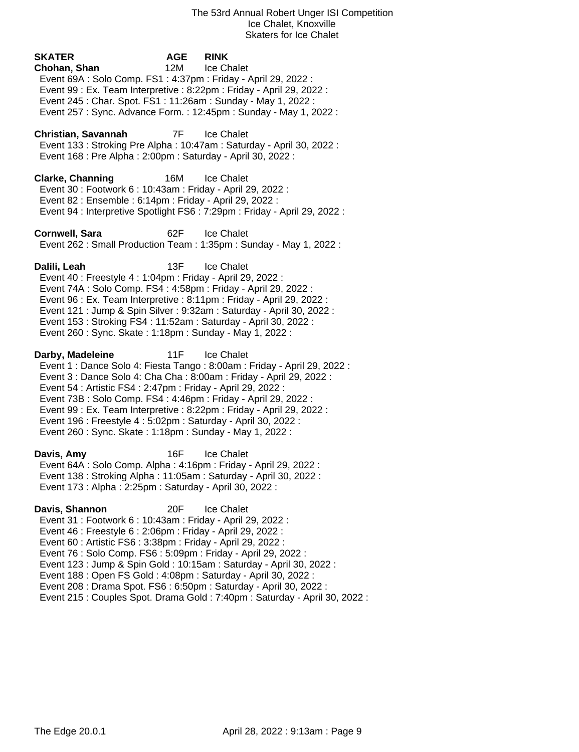| <b>SKATER</b><br>Chohan, Shan<br>Event 69A : Solo Comp. FS1 : 4:37pm : Friday - April 29, 2022 :<br>Event 245 : Char. Spot. FS1 : 11:26am : Sunday - May 1, 2022 :                                                                                                                                                                            | AGE<br>12M | <b>RINK</b><br>Ice Chalet<br>Event 99 : Ex. Team Interpretive : 8:22pm : Friday - April 29, 2022 :<br>Event 257: Sync. Advance Form.: 12:45pm: Sunday - May 1, 2022:                                                                            |
|-----------------------------------------------------------------------------------------------------------------------------------------------------------------------------------------------------------------------------------------------------------------------------------------------------------------------------------------------|------------|-------------------------------------------------------------------------------------------------------------------------------------------------------------------------------------------------------------------------------------------------|
| Christian, Savannah<br>Event 168 : Pre Alpha : 2:00pm : Saturday - April 30, 2022 :                                                                                                                                                                                                                                                           |            | 7F Ice Chalet<br>Event 133: Stroking Pre Alpha: 10:47am: Saturday - April 30, 2022:                                                                                                                                                             |
| <b>Clarke, Channing</b><br>Event 30: Footwork 6: 10:43am: Friday - April 29, 2022:<br>Event 82 : Ensemble : 6:14pm : Friday - April 29, 2022 :                                                                                                                                                                                                | 16M        | Ice Chalet<br>Event 94 : Interpretive Spotlight FS6 : 7:29pm : Friday - April 29, 2022 :                                                                                                                                                        |
| Cornwell, Sara                                                                                                                                                                                                                                                                                                                                | 62F        | Ice Chalet<br>Event 262 : Small Production Team : 1:35pm : Sunday - May 1, 2022 :                                                                                                                                                               |
| Dalili, Leah<br>Event 40 : Freestyle 4 : 1:04pm : Friday - April 29, 2022 :<br>Event 74A : Solo Comp. FS4 : 4:58pm : Friday - April 29, 2022 :<br>Event 153: Stroking FS4: 11:52am: Saturday - April 30, 2022:<br>Event 260 : Sync. Skate : 1:18pm : Sunday - May 1, 2022 :                                                                   | 13F        | Ice Chalet<br>Event 96 : Ex. Team Interpretive : 8:11pm : Friday - April 29, 2022 :<br>Event 121 : Jump & Spin Silver : 9:32am : Saturday - April 30, 2022 :                                                                                    |
| Darby, Madeleine<br>Event 54 : Artistic FS4 : 2:47pm : Friday - April 29, 2022 :<br>Event 73B: Solo Comp. FS4: 4:46pm: Friday - April 29, 2022:<br>Event 196 : Freestyle 4 : 5:02pm : Saturday - April 30, 2022 :<br>Event 260 : Sync. Skate : 1:18pm : Sunday - May 1, 2022 :                                                                | 11F        | <b>Ice Chalet</b><br>Event 1 : Dance Solo 4: Fiesta Tango : 8:00am : Friday - April 29, 2022 :<br>Event 3 : Dance Solo 4: Cha Cha : 8:00am : Friday - April 29, 2022 :<br>Event 99 : Ex. Team Interpretive : 8:22pm : Friday - April 29, 2022 : |
| Davis, Amy<br>Event 64A : Solo Comp. Alpha : 4:16pm : Friday - April 29, 2022 :<br>Event 138: Stroking Alpha: 11:05am: Saturday - April 30, 2022:<br>Event 173 : Alpha : 2:25pm : Saturday - April 30, 2022 :                                                                                                                                 | 16F        | <b>Ice Chalet</b>                                                                                                                                                                                                                               |
| Davis, Shannon<br>Event 31: Footwork 6: 10:43am: Friday - April 29, 2022:<br>Event 46 : Freestyle 6 : 2:06pm : Friday - April 29, 2022 :<br>Event 60 : Artistic FS6 : 3:38pm : Friday - April 29, 2022 :<br>Event 76 : Solo Comp. FS6 : 5:09pm : Friday - April 29, 2022 :<br>Event 188 : Open FS Gold : 4:08pm : Saturday - April 30, 2022 : | 20F        | <b>Ice Chalet</b><br>Event 123 : Jump & Spin Gold : 10:15am : Saturday - April 30, 2022 :<br>Event 208 : Drama Spot. FS6 : 6:50pm : Saturday - April 30, 2022 :<br>Event 215 : Couples Spot. Drama Gold : 7:40pm : Saturday - April 30, 2022 :  |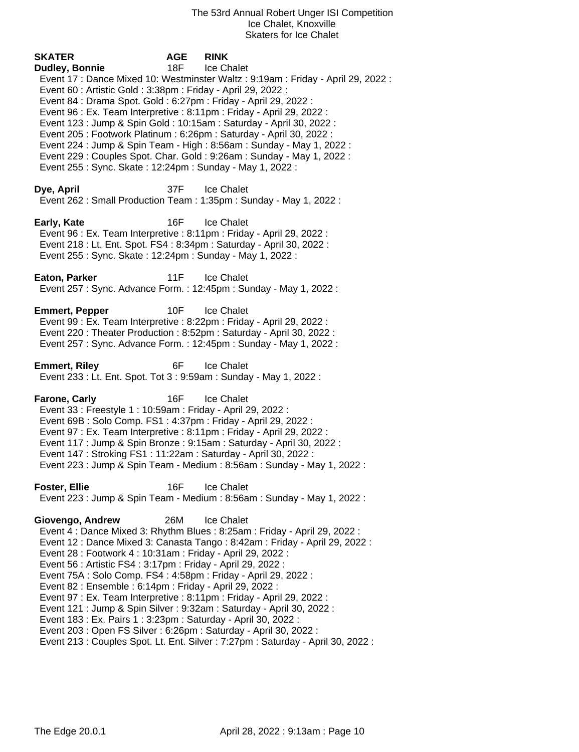**SKATER AGE RINK Dudley, Bonnie** 18F Ice Chalet Event 17 : Dance Mixed 10: Westminster Waltz : 9:19am : Friday - April 29, 2022 : Event 60 : Artistic Gold : 3:38pm : Friday - April 29, 2022 : Event 84 : Drama Spot. Gold : 6:27pm : Friday - April 29, 2022 : Event 96 : Ex. Team Interpretive : 8:11pm : Friday - April 29, 2022 : Event 123 : Jump & Spin Gold : 10:15am : Saturday - April 30, 2022 : Event 205 : Footwork Platinum : 6:26pm : Saturday - April 30, 2022 : Event 224 : Jump & Spin Team - High : 8:56am : Sunday - May 1, 2022 : Event 229 : Couples Spot. Char. Gold : 9:26am : Sunday - May 1, 2022 : Event 255 : Sync. Skate : 12:24pm : Sunday - May 1, 2022 : **Dye, April** 37F Ice Chalet Event 262 : Small Production Team : 1:35pm : Sunday - May 1, 2022 : **Early, Kate** 16F Ice Chalet Event 96 : Ex. Team Interpretive : 8:11pm : Friday - April 29, 2022 : Event 218 : Lt. Ent. Spot. FS4 : 8:34pm : Saturday - April 30, 2022 : Event 255 : Sync. Skate : 12:24pm : Sunday - May 1, 2022 : **Eaton, Parker** 11F Ice Chalet Event 257 : Sync. Advance Form. : 12:45pm : Sunday - May 1, 2022 : **Emmert, Pepper** 10F Ice Chalet Event 99 : Ex. Team Interpretive : 8:22pm : Friday - April 29, 2022 : Event 220 : Theater Production : 8:52pm : Saturday - April 30, 2022 : Event 257 : Sync. Advance Form. : 12:45pm : Sunday - May 1, 2022 : **Emmert, Riley** 6F Ice Chalet Event 233 : Lt. Ent. Spot. Tot 3 : 9:59am : Sunday - May 1, 2022 : **Farone, Carly 16F** Ice Chalet Event 33 : Freestyle 1 : 10:59am : Friday - April 29, 2022 : Event 69B : Solo Comp. FS1 : 4:37pm : Friday - April 29, 2022 : Event 97 : Ex. Team Interpretive : 8:11pm : Friday - April 29, 2022 : Event 117 : Jump & Spin Bronze : 9:15am : Saturday - April 30, 2022 : Event 147 : Stroking FS1 : 11:22am : Saturday - April 30, 2022 : Event 223 : Jump & Spin Team - Medium : 8:56am : Sunday - May 1, 2022 : **Foster, Ellie** 16F Ice Chalet Event 223 : Jump & Spin Team - Medium : 8:56am : Sunday - May 1, 2022 : **Giovengo, Andrew** 26M Ice Chalet Event 4 : Dance Mixed 3: Rhythm Blues : 8:25am : Friday - April 29, 2022 : Event 12 : Dance Mixed 3: Canasta Tango : 8:42am : Friday - April 29, 2022 : Event 28 : Footwork 4 : 10:31am : Friday - April 29, 2022 : Event 56 : Artistic FS4 : 3:17pm : Friday - April 29, 2022 : Event 75A : Solo Comp. FS4 : 4:58pm : Friday - April 29, 2022 : Event 82 : Ensemble : 6:14pm : Friday - April 29, 2022 : Event 97 : Ex. Team Interpretive : 8:11pm : Friday - April 29, 2022 : Event 121 : Jump & Spin Silver : 9:32am : Saturday - April 30, 2022 : Event 183 : Ex. Pairs 1 : 3:23pm : Saturday - April 30, 2022 : Event 203 : Open FS Silver : 6:26pm : Saturday - April 30, 2022 :

Event 213 : Couples Spot. Lt. Ent. Silver : 7:27pm : Saturday - April 30, 2022 :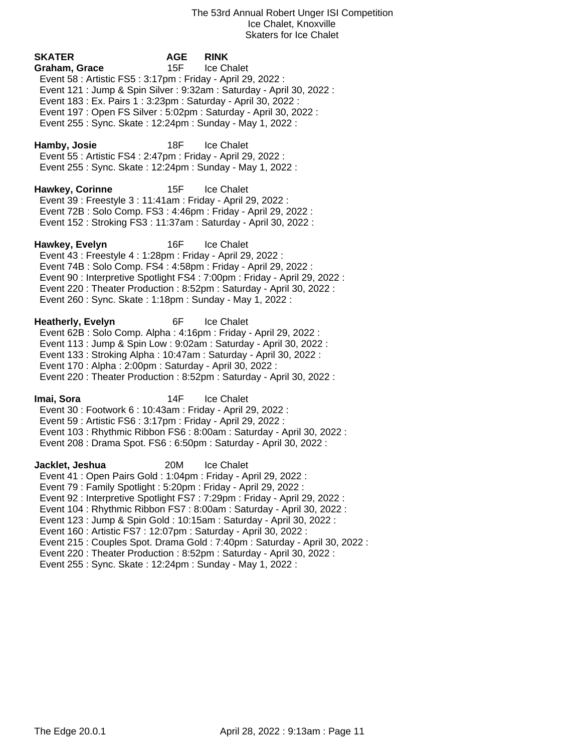| <b>SKATER</b><br>Graham, Grace<br>Event 58 : Artistic FS5 : 3:17pm : Friday - April 29, 2022 :<br>Event 183 : Ex. Pairs 1 : 3:23pm : Saturday - April 30, 2022 :<br>Event 197 : Open FS Silver : 5:02pm : Saturday - April 30, 2022 :<br>Event 255: Sync. Skate: 12:24pm: Sunday - May 1, 2022: | AGE<br>15F | <b>RINK</b><br>Ice Chalet<br>Event 121 : Jump & Spin Silver : 9:32am : Saturday - April 30, 2022 :                                                                                                                                                                                                                                                                                                |
|-------------------------------------------------------------------------------------------------------------------------------------------------------------------------------------------------------------------------------------------------------------------------------------------------|------------|---------------------------------------------------------------------------------------------------------------------------------------------------------------------------------------------------------------------------------------------------------------------------------------------------------------------------------------------------------------------------------------------------|
| Hamby, Josie<br>Event 55: Artistic FS4: 2:47pm: Friday - April 29, 2022:<br>Event 255 : Sync. Skate : 12:24pm : Sunday - May 1, 2022 :                                                                                                                                                          | 18F        | <b>Ice Chalet</b>                                                                                                                                                                                                                                                                                                                                                                                 |
| <b>Hawkey, Corinne</b><br>Event 39 : Freestyle 3 : 11:41am : Friday - April 29, 2022 :<br>Event 72B: Solo Comp. FS3: 4:46pm: Friday - April 29, 2022:<br>Event 152: Stroking FS3: 11:37am: Saturday - April 30, 2022:                                                                           | 15F        | Ice Chalet                                                                                                                                                                                                                                                                                                                                                                                        |
| Hawkey, Evelyn<br>Event 43 : Freestyle 4 : 1:28pm : Friday - April 29, 2022 :<br>Event 74B : Solo Comp. FS4 : 4:58pm : Friday - April 29, 2022 :<br>Event 260 : Sync. Skate : 1:18pm : Sunday - May 1, 2022 :                                                                                   | 16F        | Ice Chalet<br>Event 90 : Interpretive Spotlight FS4 : 7:00pm : Friday - April 29, 2022 :<br>Event 220 : Theater Production : 8:52pm : Saturday - April 30, 2022 :                                                                                                                                                                                                                                 |
| Heatherly, Evelyn<br>Event 62B: Solo Comp. Alpha: 4:16pm: Friday - April 29, 2022:<br>Event 133: Stroking Alpha: 10:47am: Saturday - April 30, 2022:<br>Event 170 : Alpha : 2:00pm : Saturday - April 30, 2022 :                                                                                | 6F         | <b>Ice Chalet</b><br>Event 113 : Jump & Spin Low : 9:02am : Saturday - April 30, 2022 :<br>Event 220 : Theater Production : 8:52pm : Saturday - April 30, 2022 :                                                                                                                                                                                                                                  |
| Imai, Sora<br>Event 30: Footwork 6: 10:43am: Friday - April 29, 2022:<br>Event 59 : Artistic FS6 : 3:17pm : Friday - April 29, 2022 :                                                                                                                                                           | 14F        | Ice Chalet<br>Event 103 : Rhythmic Ribbon FS6 : 8:00am : Saturday - April 30, 2022 :<br>Event 208 : Drama Spot. FS6 : 6:50pm : Saturday - April 30, 2022 :                                                                                                                                                                                                                                        |
| Jacklet, Jeshua<br>Event 41 : Open Pairs Gold : 1:04pm : Friday - April 29, 2022 :<br>Event 79: Family Spotlight: 5:20pm: Friday - April 29, 2022:<br>Event 160 : Artistic FS7 : 12:07pm : Saturday - April 30, 2022 :<br>Event 255: Sync. Skate: 12:24pm: Sunday - May 1, 2022:                | 20M        | <b>Ice Chalet</b><br>Event 92 : Interpretive Spotlight FS7 : 7:29pm : Friday - April 29, 2022 :<br>Event 104: Rhythmic Ribbon FS7: 8:00am: Saturday - April 30, 2022:<br>Event 123 : Jump & Spin Gold : 10:15am : Saturday - April 30, 2022 :<br>Event 215 : Couples Spot. Drama Gold : 7:40pm : Saturday - April 30, 2022 :<br>Event 220: Theater Production: 8:52pm: Saturday - April 30, 2022: |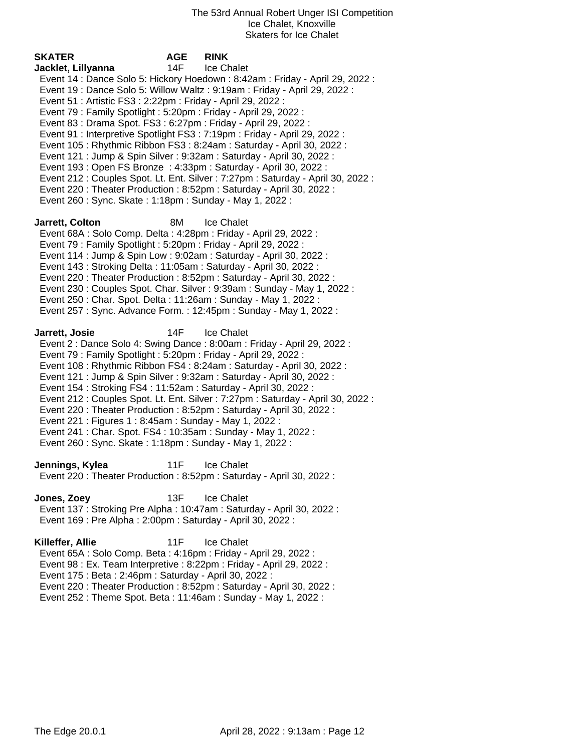| <b>SKATER</b>                                                                                                                                                                                                                                                                                                                                | <b>AGE</b> | <b>RINK</b>                                                                                                                                                                                                                                                                                                                                                                                                                                                                                                                                                                                                                          |
|----------------------------------------------------------------------------------------------------------------------------------------------------------------------------------------------------------------------------------------------------------------------------------------------------------------------------------------------|------------|--------------------------------------------------------------------------------------------------------------------------------------------------------------------------------------------------------------------------------------------------------------------------------------------------------------------------------------------------------------------------------------------------------------------------------------------------------------------------------------------------------------------------------------------------------------------------------------------------------------------------------------|
| Jacklet, Lillyanna<br>Event 51 : Artistic FS3 : 2:22pm : Friday - April 29, 2022 :<br>Event 79 : Family Spotlight : 5:20pm : Friday - April 29, 2022 :<br>Event 83 : Drama Spot. FS3 : 6:27pm : Friday - April 29, 2022 :<br>Event 260 : Sync. Skate : 1:18pm : Sunday - May 1, 2022 :                                                       | 14F        | Ice Chalet<br>Event 14 : Dance Solo 5: Hickory Hoedown : 8:42am : Friday - April 29, 2022 :<br>Event 19: Dance Solo 5: Willow Waltz: 9:19am: Friday - April 29, 2022:<br>Event 91 : Interpretive Spotlight FS3 : 7:19pm : Friday - April 29, 2022 :<br>Event 105: Rhythmic Ribbon FS3: 8:24am: Saturday - April 30, 2022:<br>Event 121 : Jump & Spin Silver : 9:32am : Saturday - April 30, 2022 :<br>Event 193 : Open FS Bronze : 4:33pm : Saturday - April 30, 2022 :<br>Event 212 : Couples Spot. Lt. Ent. Silver : 7:27pm : Saturday - April 30, 2022 :<br>Event 220 : Theater Production : 8:52pm : Saturday - April 30, 2022 : |
| Jarrett, Colton<br>Event 68A : Solo Comp. Delta : 4:28pm : Friday - April 29, 2022 :<br>Event 79: Family Spotlight: 5:20pm: Friday - April 29, 2022:<br>Event 143 : Stroking Delta : 11:05am : Saturday - April 30, 2022 :<br>Event 250 : Char. Spot. Delta : 11:26am : Sunday - May 1, 2022 :                                               | 8M         | Ice Chalet<br>Event 114 : Jump & Spin Low : 9:02am : Saturday - April 30, 2022 :<br>Event 220 : Theater Production : 8:52pm : Saturday - April 30, 2022 :<br>Event 230 : Couples Spot. Char. Silver : 9:39am : Sunday - May 1, 2022 :<br>Event 257: Sync. Advance Form.: 12:45pm: Sunday - May 1, 2022:                                                                                                                                                                                                                                                                                                                              |
| Jarrett, Josie<br>Event 79 : Family Spotlight : 5:20pm : Friday - April 29, 2022 :<br>Event 154: Stroking FS4: 11:52am: Saturday - April 30, 2022:<br>Event 221 : Figures 1 : 8:45am : Sunday - May 1, 2022 :<br>Event 241 : Char. Spot. FS4 : 10:35am : Sunday - May 1, 2022 :<br>Event 260 : Sync. Skate : 1:18pm : Sunday - May 1, 2022 : | 14F        | Ice Chalet<br>Event 2: Dance Solo 4: Swing Dance: 8:00am: Friday - April 29, 2022:<br>Event 108 : Rhythmic Ribbon FS4 : 8:24am : Saturday - April 30, 2022 :<br>Event 121 : Jump & Spin Silver : 9:32am : Saturday - April 30, 2022 :<br>Event 212 : Couples Spot. Lt. Ent. Silver : 7:27pm : Saturday - April 30, 2022 :<br>Event 220 : Theater Production : 8:52pm : Saturday - April 30, 2022 :                                                                                                                                                                                                                                   |
| Jennings, Kylea                                                                                                                                                                                                                                                                                                                              | 11F        | Ice Chalet<br>Event 220 : Theater Production : 8:52pm : Saturday - April 30, 2022 :                                                                                                                                                                                                                                                                                                                                                                                                                                                                                                                                                  |
| Jones, Zoey<br>Event 169 : Pre Alpha : 2:00pm : Saturday - April 30, 2022 :                                                                                                                                                                                                                                                                  | 13F        | <b>Ice Chalet</b><br>Event 137: Stroking Pre Alpha: 10:47am: Saturday - April 30, 2022:                                                                                                                                                                                                                                                                                                                                                                                                                                                                                                                                              |
| Killeffer, Allie<br>Event 65A: Solo Comp. Beta: 4:16pm: Friday - April 29, 2022:<br>Event 175 : Beta : 2:46pm : Saturday - April 30, 2022 :                                                                                                                                                                                                  | 11F        | Ice Chalet<br>Event 98 : Ex. Team Interpretive : 8:22pm : Friday - April 29, 2022 :                                                                                                                                                                                                                                                                                                                                                                                                                                                                                                                                                  |

Event 220 : Theater Production : 8:52pm : Saturday - April 30, 2022 :

Event 252 : Theme Spot. Beta : 11:46am : Sunday - May 1, 2022 :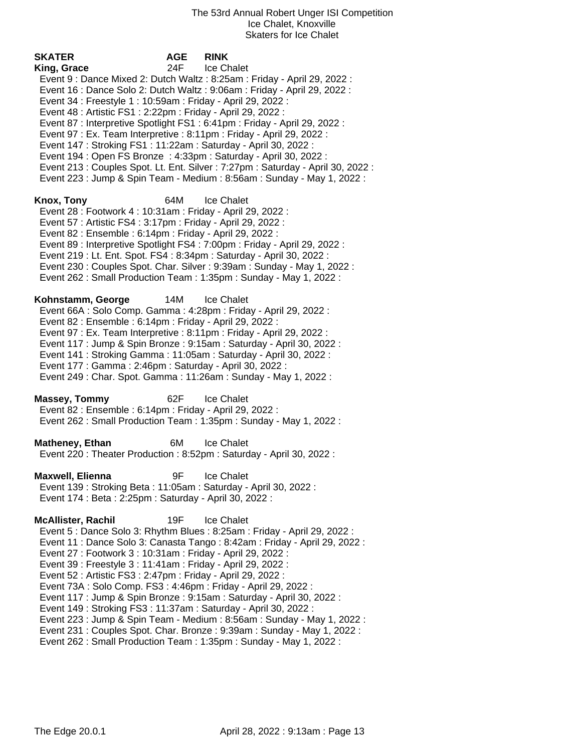**SKATER AGE RINK King, Grace** 24F Ice Chalet Event 9 : Dance Mixed 2: Dutch Waltz : 8:25am : Friday - April 29, 2022 : Event 16 : Dance Solo 2: Dutch Waltz : 9:06am : Friday - April 29, 2022 : Event 34 : Freestyle 1 : 10:59am : Friday - April 29, 2022 : Event 48 : Artistic FS1 : 2:22pm : Friday - April 29, 2022 : Event 87 : Interpretive Spotlight FS1 : 6:41pm : Friday - April 29, 2022 : Event 97 : Ex. Team Interpretive : 8:11pm : Friday - April 29, 2022 : Event 147 : Stroking FS1 : 11:22am : Saturday - April 30, 2022 : Event 194 : Open FS Bronze : 4:33pm : Saturday - April 30, 2022 : Event 213 : Couples Spot. Lt. Ent. Silver : 7:27pm : Saturday - April 30, 2022 : Event 223 : Jump & Spin Team - Medium : 8:56am : Sunday - May 1, 2022 : **Knox, Tony** 64M Ice Chalet Event 28 : Footwork 4 : 10:31am : Friday - April 29, 2022 : Event 57 : Artistic FS4 : 3:17pm : Friday - April 29, 2022 : Event 82 : Ensemble : 6:14pm : Friday - April 29, 2022 : Event 89 : Interpretive Spotlight FS4 : 7:00pm : Friday - April 29, 2022 : Event 219 : Lt. Ent. Spot. FS4 : 8:34pm : Saturday - April 30, 2022 : Event 230 : Couples Spot. Char. Silver : 9:39am : Sunday - May 1, 2022 : Event 262 : Small Production Team : 1:35pm : Sunday - May 1, 2022 : **Kohnstamm, George** 14M Ice Chalet Event 66A : Solo Comp. Gamma : 4:28pm : Friday - April 29, 2022 : Event 82 : Ensemble : 6:14pm : Friday - April 29, 2022 : Event 97 : Ex. Team Interpretive : 8:11pm : Friday - April 29, 2022 : Event 117 : Jump & Spin Bronze : 9:15am : Saturday - April 30, 2022 : Event 141 : Stroking Gamma : 11:05am : Saturday - April 30, 2022 : Event 177 : Gamma : 2:46pm : Saturday - April 30, 2022 : Event 249 : Char. Spot. Gamma : 11:26am : Sunday - May 1, 2022 : **Massey, Tommy** 62F Ice Chalet Event 82 : Ensemble : 6:14pm : Friday - April 29, 2022 : Event 262 : Small Production Team : 1:35pm : Sunday - May 1, 2022 : **Matheney, Ethan** 6M Ice Chalet Event 220 : Theater Production : 8:52pm : Saturday - April 30, 2022 : **Maxwell, Elienna** 9F Ice Chalet Event 139 : Stroking Beta : 11:05am : Saturday - April 30, 2022 : Event 174 : Beta : 2:25pm : Saturday - April 30, 2022 : **McAllister, Rachil** 19F Ice Chalet Event 5 : Dance Solo 3: Rhythm Blues : 8:25am : Friday - April 29, 2022 : Event 11 : Dance Solo 3: Canasta Tango : 8:42am : Friday - April 29, 2022 : Event 27 : Footwork 3 : 10:31am : Friday - April 29, 2022 : Event 39 : Freestyle 3 : 11:41am : Friday - April 29, 2022 : Event 52 : Artistic FS3 : 2:47pm : Friday - April 29, 2022 : Event 73A : Solo Comp. FS3 : 4:46pm : Friday - April 29, 2022 : Event 117 : Jump & Spin Bronze : 9:15am : Saturday - April 30, 2022 : Event 149 : Stroking FS3 : 11:37am : Saturday - April 30, 2022 : Event 223 : Jump & Spin Team - Medium : 8:56am : Sunday - May 1, 2022 : Event 231 : Couples Spot. Char. Bronze : 9:39am : Sunday - May 1, 2022 :

Event 262 : Small Production Team : 1:35pm : Sunday - May 1, 2022 :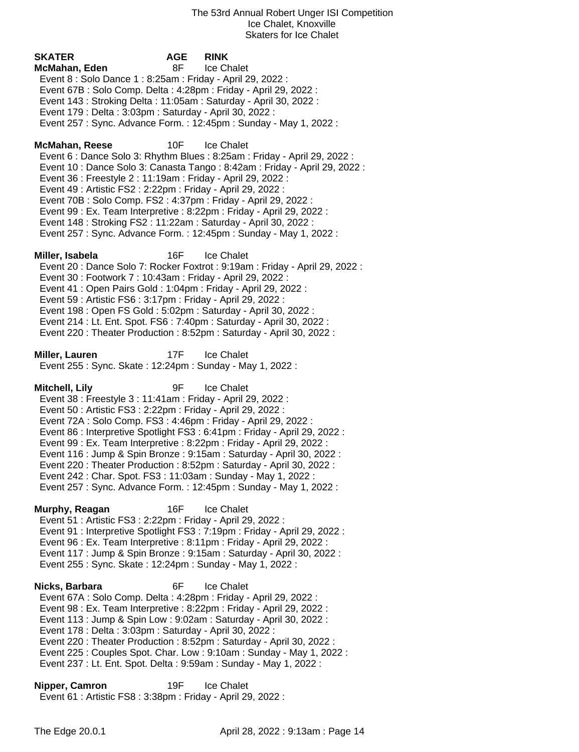**SKATER AGE RINK McMahan, Eden** 8F Ice Chalet Event 8 : Solo Dance 1 : 8:25am : Friday - April 29, 2022 : Event 67B : Solo Comp. Delta : 4:28pm : Friday - April 29, 2022 : Event 143 : Stroking Delta : 11:05am : Saturday - April 30, 2022 : Event 179 : Delta : 3:03pm : Saturday - April 30, 2022 : Event 257 : Sync. Advance Form. : 12:45pm : Sunday - May 1, 2022 : **McMahan, Reese** 10F Ice Chalet Event 6 : Dance Solo 3: Rhythm Blues : 8:25am : Friday - April 29, 2022 : Event 10 : Dance Solo 3: Canasta Tango : 8:42am : Friday - April 29, 2022 : Event 36 : Freestyle 2 : 11:19am : Friday - April 29, 2022 : Event 49 : Artistic FS2 : 2:22pm : Friday - April 29, 2022 : Event 70B : Solo Comp. FS2 : 4:37pm : Friday - April 29, 2022 : Event 99 : Ex. Team Interpretive : 8:22pm : Friday - April 29, 2022 : Event 148 : Stroking FS2 : 11:22am : Saturday - April 30, 2022 : Event 257 : Sync. Advance Form. : 12:45pm : Sunday - May 1, 2022 : **Miller, Isabela** 16F Ice Chalet Event 20 : Dance Solo 7: Rocker Foxtrot : 9:19am : Friday - April 29, 2022 : Event 30 : Footwork 7 : 10:43am : Friday - April 29, 2022 : Event 41 : Open Pairs Gold : 1:04pm : Friday - April 29, 2022 : Event 59 : Artistic FS6 : 3:17pm : Friday - April 29, 2022 : Event 198 : Open FS Gold : 5:02pm : Saturday - April 30, 2022 : Event 214 : Lt. Ent. Spot. FS6 : 7:40pm : Saturday - April 30, 2022 : Event 220 : Theater Production : 8:52pm : Saturday - April 30, 2022 : **Miller, Lauren** 17F Ice Chalet Event 255 : Sync. Skate : 12:24pm : Sunday - May 1, 2022 : **Mitchell, Lily** 9F Ice Chalet Event 38 : Freestyle 3 : 11:41am : Friday - April 29, 2022 : Event 50 : Artistic FS3 : 2:22pm : Friday - April 29, 2022 : Event 72A : Solo Comp. FS3 : 4:46pm : Friday - April 29, 2022 : Event 86 : Interpretive Spotlight FS3 : 6:41pm : Friday - April 29, 2022 : Event 99 : Ex. Team Interpretive : 8:22pm : Friday - April 29, 2022 : Event 116 : Jump & Spin Bronze : 9:15am : Saturday - April 30, 2022 : Event 220 : Theater Production : 8:52pm : Saturday - April 30, 2022 : Event 242 : Char. Spot. FS3 : 11:03am : Sunday - May 1, 2022 : Event 257 : Sync. Advance Form. : 12:45pm : Sunday - May 1, 2022 : **Murphy, Reagan** 16F Ice Chalet Event 51 : Artistic FS3 : 2:22pm : Friday - April 29, 2022 : Event 91 : Interpretive Spotlight FS3 : 7:19pm : Friday - April 29, 2022 : Event 96 : Ex. Team Interpretive : 8:11pm : Friday - April 29, 2022 : Event 117 : Jump & Spin Bronze : 9:15am : Saturday - April 30, 2022 : Event 255 : Sync. Skate : 12:24pm : Sunday - May 1, 2022 : **Nicks, Barbara** 6F Ice Chalet Event 67A : Solo Comp. Delta : 4:28pm : Friday - April 29, 2022 : Event 98 : Ex. Team Interpretive : 8:22pm : Friday - April 29, 2022 : Event 113 : Jump & Spin Low : 9:02am : Saturday - April 30, 2022 : Event 178 : Delta : 3:03pm : Saturday - April 30, 2022 : Event 220 : Theater Production : 8:52pm : Saturday - April 30, 2022 : Event 225 : Couples Spot. Char. Low : 9:10am : Sunday - May 1, 2022 :

Event 237 : Lt. Ent. Spot. Delta : 9:59am : Sunday - May 1, 2022 :

**Nipper, Camron** 19F Ice Chalet Event 61 : Artistic FS8 : 3:38pm : Friday - April 29, 2022 :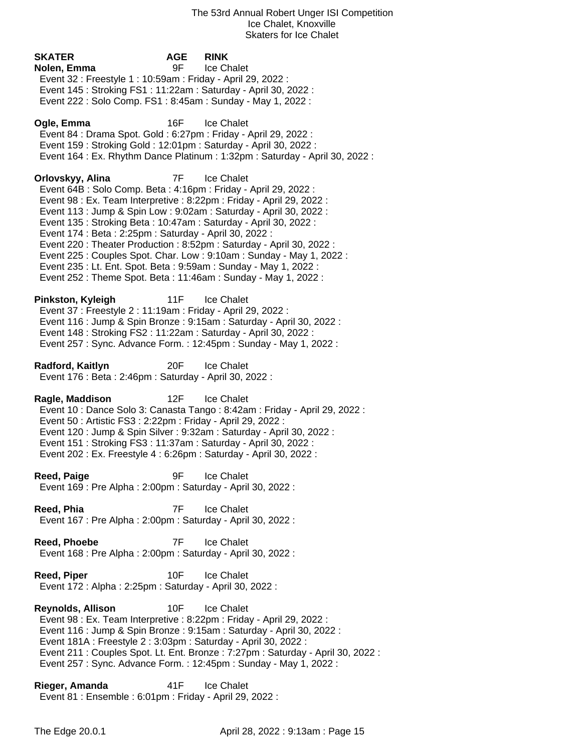**SKATER AGE RINK Nolen, Emma** 9F Ice Chalet Event 32 : Freestyle 1 : 10:59am : Friday - April 29, 2022 : Event 145 : Stroking FS1 : 11:22am : Saturday - April 30, 2022 : Event 222 : Solo Comp. FS1 : 8:45am : Sunday - May 1, 2022 : **Ogle, Emma** 16F Ice Chalet Event 84 : Drama Spot. Gold : 6:27pm : Friday - April 29, 2022 : Event 159 : Stroking Gold : 12:01pm : Saturday - April 30, 2022 : Event 164 : Ex. Rhythm Dance Platinum : 1:32pm : Saturday - April 30, 2022 : **Orlovskyy, Alina** 7F Ice Chalet Event 64B : Solo Comp. Beta : 4:16pm : Friday - April 29, 2022 : Event 98 : Ex. Team Interpretive : 8:22pm : Friday - April 29, 2022 : Event 113 : Jump & Spin Low : 9:02am : Saturday - April 30, 2022 : Event 135 : Stroking Beta : 10:47am : Saturday - April 30, 2022 : Event 174 : Beta : 2:25pm : Saturday - April 30, 2022 : Event 220 : Theater Production : 8:52pm : Saturday - April 30, 2022 : Event 225 : Couples Spot. Char. Low : 9:10am : Sunday - May 1, 2022 : Event 235 : Lt. Ent. Spot. Beta : 9:59am : Sunday - May 1, 2022 : Event 252 : Theme Spot. Beta : 11:46am : Sunday - May 1, 2022 : **Pinkston, Kyleigh** 11F Ice Chalet Event 37 : Freestyle 2 : 11:19am : Friday - April 29, 2022 : Event 116 : Jump & Spin Bronze : 9:15am : Saturday - April 30, 2022 : Event 148 : Stroking FS2 : 11:22am : Saturday - April 30, 2022 : Event 257 : Sync. Advance Form. : 12:45pm : Sunday - May 1, 2022 : **Radford, Kaitlyn** 20F Ice Chalet Event 176 : Beta : 2:46pm : Saturday - April 30, 2022 : **Ragle, Maddison** 12F Ice Chalet Event 10 : Dance Solo 3: Canasta Tango : 8:42am : Friday - April 29, 2022 : Event 50 : Artistic FS3 : 2:22pm : Friday - April 29, 2022 : Event 120 : Jump & Spin Silver : 9:32am : Saturday - April 30, 2022 : Event 151 : Stroking FS3 : 11:37am : Saturday - April 30, 2022 : Event 202 : Ex. Freestyle 4 : 6:26pm : Saturday - April 30, 2022 : **Reed, Paige 1998 12 Second Property** 1 Second Property 1 Second Property 1 Second Property 1 Second Property 1 Second Property 1 Second Property 1 Second Property 1 Second Property 1 Second Property 1 Second Property Event 169 : Pre Alpha : 2:00pm : Saturday - April 30, 2022 : **Reed, Phia** 7F Ice Chalet Event 167 : Pre Alpha : 2:00pm : Saturday - April 30, 2022 : **Reed, Phoebe** 7F Ice Chalet Event 168 : Pre Alpha : 2:00pm : Saturday - April 30, 2022 : **Reed, Piper** 10F Ice Chalet Event 172 : Alpha : 2:25pm : Saturday - April 30, 2022 : **Reynolds, Allison** 10F Ice Chalet Event 98 : Ex. Team Interpretive : 8:22pm : Friday - April 29, 2022 : Event 116 : Jump & Spin Bronze : 9:15am : Saturday - April 30, 2022 : Event 181A : Freestyle 2 : 3:03pm : Saturday - April 30, 2022 : Event 211 : Couples Spot. Lt. Ent. Bronze : 7:27pm : Saturday - April 30, 2022 : Event 257 : Sync. Advance Form. : 12:45pm : Sunday - May 1, 2022 :

**Rieger, Amanda** 41F Ice Chalet Event 81 : Ensemble : 6:01pm : Friday - April 29, 2022 :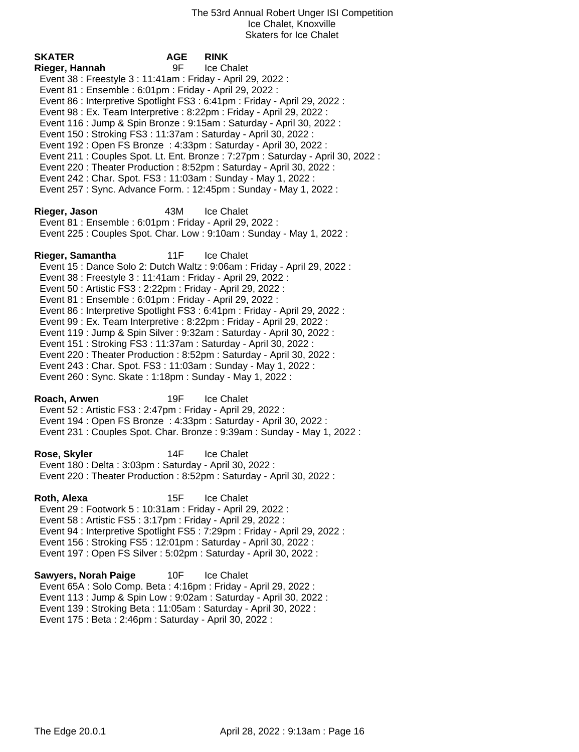**SKATER AGE RINK Rieger, Hannah** 9F Ice Chalet Event 38 : Freestyle 3 : 11:41am : Friday - April 29, 2022 : Event 81 : Ensemble : 6:01pm : Friday - April 29, 2022 : Event 86 : Interpretive Spotlight FS3 : 6:41pm : Friday - April 29, 2022 : Event 98 : Ex. Team Interpretive : 8:22pm : Friday - April 29, 2022 : Event 116 : Jump & Spin Bronze : 9:15am : Saturday - April 30, 2022 : Event 150 : Stroking FS3 : 11:37am : Saturday - April 30, 2022 : Event 192 : Open FS Bronze : 4:33pm : Saturday - April 30, 2022 : Event 211 : Couples Spot. Lt. Ent. Bronze : 7:27pm : Saturday - April 30, 2022 : Event 220 : Theater Production : 8:52pm : Saturday - April 30, 2022 : Event 242 : Char. Spot. FS3 : 11:03am : Sunday - May 1, 2022 : Event 257 : Sync. Advance Form. : 12:45pm : Sunday - May 1, 2022 : **Rieger, Jason** 43M Ice Chalet Event 81 : Ensemble : 6:01pm : Friday - April 29, 2022 : Event 225 : Couples Spot. Char. Low : 9:10am : Sunday - May 1, 2022 : **Rieger, Samantha** 11F Ice Chalet Event 15 : Dance Solo 2: Dutch Waltz : 9:06am : Friday - April 29, 2022 : Event 38 : Freestyle 3 : 11:41am : Friday - April 29, 2022 : Event 50 : Artistic FS3 : 2:22pm : Friday - April 29, 2022 : Event 81 : Ensemble : 6:01pm : Friday - April 29, 2022 : Event 86 : Interpretive Spotlight FS3 : 6:41pm : Friday - April 29, 2022 : Event 99 : Ex. Team Interpretive : 8:22pm : Friday - April 29, 2022 : Event 119 : Jump & Spin Silver : 9:32am : Saturday - April 30, 2022 : Event 151 : Stroking FS3 : 11:37am : Saturday - April 30, 2022 : Event 220 : Theater Production : 8:52pm : Saturday - April 30, 2022 : Event 243 : Char. Spot. FS3 : 11:03am : Sunday - May 1, 2022 : Event 260 : Sync. Skate : 1:18pm : Sunday - May 1, 2022 : **Roach, Arwen** 19F Ice Chalet Event 52 : Artistic FS3 : 2:47pm : Friday - April 29, 2022 : Event 194 : Open FS Bronze : 4:33pm : Saturday - April 30, 2022 : Event 231 : Couples Spot. Char. Bronze : 9:39am : Sunday - May 1, 2022 : **Rose, Skyler** 14F Ice Chalet Event 180 : Delta : 3:03pm : Saturday - April 30, 2022 : Event 220 : Theater Production : 8:52pm : Saturday - April 30, 2022 : **Roth, Alexa** 15F Ice Chalet Event 29 : Footwork 5 : 10:31am : Friday - April 29, 2022 : Event 58 : Artistic FS5 : 3:17pm : Friday - April 29, 2022 : Event 94 : Interpretive Spotlight FS5 : 7:29pm : Friday - April 29, 2022 : Event 156 : Stroking FS5 : 12:01pm : Saturday - April 30, 2022 : Event 197 : Open FS Silver : 5:02pm : Saturday - April 30, 2022 : **Sawyers, Norah Paige** 10F Ice Chalet

 Event 65A : Solo Comp. Beta : 4:16pm : Friday - April 29, 2022 : Event 113 : Jump & Spin Low : 9:02am : Saturday - April 30, 2022 : Event 139 : Stroking Beta : 11:05am : Saturday - April 30, 2022 : Event 175 : Beta : 2:46pm : Saturday - April 30, 2022 :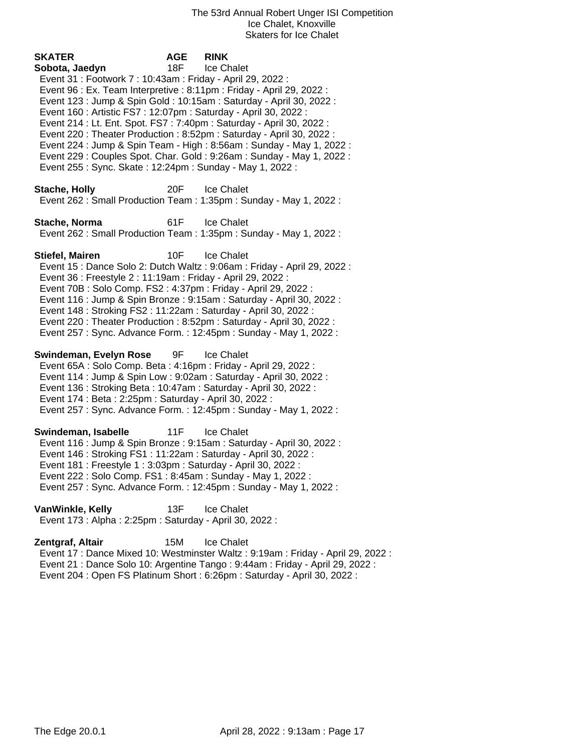| SKATER<br>Sobota, Jaedyn<br>Event 31: Footwork 7: 10:43am: Friday - April 29, 2022:<br>Event 96 : Ex. Team Interpretive : 8:11pm : Friday - April 29, 2022 :<br>Event 160 : Artistic FS7 : 12:07pm : Saturday - April 30, 2022 :<br>Event 214 : Lt. Ent. Spot. FS7 : 7:40pm : Saturday - April 30, 2022 :<br>Event 255: Sync. Skate: 12:24pm: Sunday - May 1, 2022: | <b>AGE</b><br>18F | <b>RINK</b><br>Ice Chalet<br>Event 123 : Jump & Spin Gold : 10:15am : Saturday - April 30, 2022 :<br>Event 220 : Theater Production : 8:52pm : Saturday - April 30, 2022 :<br>Event 224 : Jump & Spin Team - High : 8:56am : Sunday - May 1, 2022 :<br>Event 229 : Couples Spot. Char. Gold : 9:26am : Sunday - May 1, 2022 : |
|---------------------------------------------------------------------------------------------------------------------------------------------------------------------------------------------------------------------------------------------------------------------------------------------------------------------------------------------------------------------|-------------------|-------------------------------------------------------------------------------------------------------------------------------------------------------------------------------------------------------------------------------------------------------------------------------------------------------------------------------|
| <b>Stache, Holly</b>                                                                                                                                                                                                                                                                                                                                                | 20F               | Ice Chalet<br>Event 262: Small Production Team: 1:35pm: Sunday - May 1, 2022:                                                                                                                                                                                                                                                 |
| Stache, Norma                                                                                                                                                                                                                                                                                                                                                       | 61F               | <b>Ice Chalet</b><br>Event 262: Small Production Team: 1:35pm: Sunday - May 1, 2022:                                                                                                                                                                                                                                          |
| Stiefel, Mairen<br>Event 36 : Freestyle 2 : 11:19am : Friday - April 29, 2022 :<br>Event 70B: Solo Comp. FS2: 4:37pm: Friday - April 29, 2022:<br>Event 148 : Stroking FS2 : 11:22am : Saturday - April 30, 2022 :                                                                                                                                                  | 10F               | Ice Chalet<br>Event 15 : Dance Solo 2: Dutch Waltz : 9:06am : Friday - April 29, 2022 :<br>Event 116 : Jump & Spin Bronze : 9:15am : Saturday - April 30, 2022 :<br>Event 220 : Theater Production : 8:52pm : Saturday - April 30, 2022 :<br>Event 257: Sync. Advance Form.: 12:45pm: Sunday - May 1, 2022:                   |
| Swindeman, Evelyn Rose<br>Event 65A : Solo Comp. Beta : 4:16pm : Friday - April 29, 2022 :<br>Event 114 : Jump & Spin Low : 9:02am : Saturday - April 30, 2022 :<br>Event 136 : Stroking Beta : 10:47am : Saturday - April 30, 2022 :<br>Event 174 : Beta : 2:25pm : Saturday - April 30, 2022 :                                                                    | 9F                | <b>Ice Chalet</b><br>Event 257: Sync. Advance Form.: 12:45pm: Sunday - May 1, 2022:                                                                                                                                                                                                                                           |
| Swindeman, Isabelle<br>Event 146 : Stroking FS1 : 11:22am : Saturday - April 30, 2022 :<br>Event 181 : Freestyle 1 : 3:03pm : Saturday - April 30, 2022 :<br>Event 222 : Solo Comp. FS1 : 8:45am : Sunday - May 1, 2022 :                                                                                                                                           | 11F               | <b>Ice Chalet</b><br>Event 116 : Jump & Spin Bronze : 9:15am : Saturday - April 30, 2022 :<br>Event 257: Sync. Advance Form.: 12:45pm: Sunday - May 1, 2022:                                                                                                                                                                  |
| VanWinkle, Kelly<br>Event 173 : Alpha : 2:25pm : Saturday - April 30, 2022 :                                                                                                                                                                                                                                                                                        | 13F               | Ice Chalet                                                                                                                                                                                                                                                                                                                    |

**Zentgraf, Altair** 15M Ice Chalet Event 17 : Dance Mixed 10: Westminster Waltz : 9:19am : Friday - April 29, 2022 : Event 21 : Dance Solo 10: Argentine Tango : 9:44am : Friday - April 29, 2022 : Event 204 : Open FS Platinum Short : 6:26pm : Saturday - April 30, 2022 :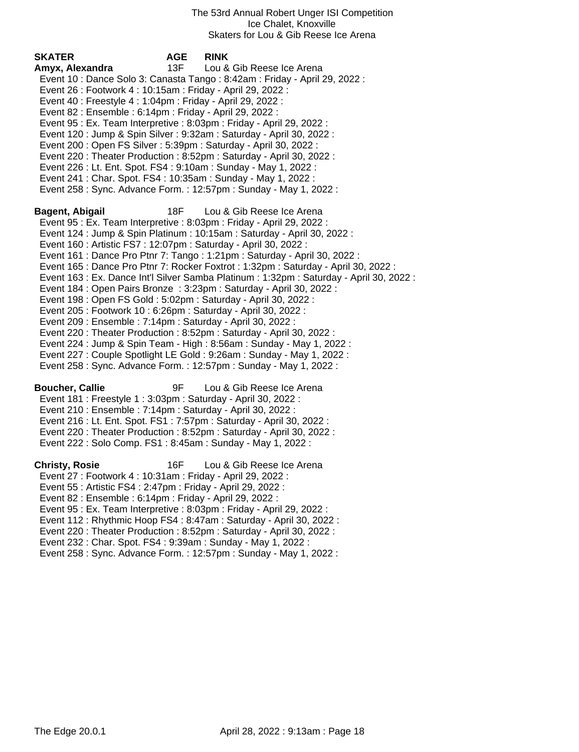| SKATER                                                            | <b>AGE</b> | <b>RINK</b>                                                                              |
|-------------------------------------------------------------------|------------|------------------------------------------------------------------------------------------|
| Amyx, Alexandra                                                   | 13F        | Lou & Gib Reese Ice Arena                                                                |
|                                                                   |            | Event 10 : Dance Solo 3: Canasta Tango : 8:42am : Friday - April 29, 2022 :              |
| Event 26 : Footwork 4 : 10:15am : Friday - April 29, 2022 :       |            |                                                                                          |
| Event 40 : Freestyle 4 : 1:04pm : Friday - April 29, 2022 :       |            |                                                                                          |
|                                                                   |            |                                                                                          |
| Event 82 : Ensemble : 6:14pm : Friday - April 29, 2022 :          |            |                                                                                          |
|                                                                   |            | Event 95 : Ex. Team Interpretive : 8:03pm : Friday - April 29, 2022 :                    |
|                                                                   |            | Event 120 : Jump & Spin Silver : 9:32am : Saturday - April 30, 2022 :                    |
| Event 200 : Open FS Silver : 5:39pm : Saturday - April 30, 2022 : |            |                                                                                          |
|                                                                   |            | Event 220 : Theater Production : 8:52pm : Saturday - April 30, 2022 :                    |
| Event 226 : Lt. Ent. Spot. FS4 : 9:10am : Sunday - May 1, 2022 :  |            |                                                                                          |
| Event 241 : Char. Spot. FS4 : 10:35am : Sunday - May 1, 2022 :    |            |                                                                                          |
|                                                                   |            | Event 258 : Sync. Advance Form. : 12:57pm : Sunday - May 1, 2022 :                       |
|                                                                   |            |                                                                                          |
| Bagent, Abigail                                                   | 18F        | Lou & Gib Reese Ice Arena                                                                |
|                                                                   |            | Event 95 : Ex. Team Interpretive : 8:03pm : Friday - April 29, 2022 :                    |
|                                                                   |            |                                                                                          |
|                                                                   |            | Event 124 : Jump & Spin Platinum : 10:15am : Saturday - April 30, 2022 :                 |
| Event 160 : Artistic FS7 : 12:07pm : Saturday - April 30, 2022 :  |            |                                                                                          |
|                                                                   |            | Event 161 : Dance Pro Ptnr 7: Tango : 1:21pm : Saturday - April 30, 2022 :               |
|                                                                   |            | Event 165 : Dance Pro Ptnr 7: Rocker Foxtrot : 1:32pm : Saturday - April 30, 2022 :      |
|                                                                   |            | Event 163 : Ex. Dance Int'l Silver Samba Platinum : 1:32pm : Saturday - April 30, 2022 : |
|                                                                   |            | Event 184 : Open Pairs Bronze : 3:23pm : Saturday - April 30, 2022 :                     |
| Event 198 : Open FS Gold : 5:02pm : Saturday - April 30, 2022 :   |            |                                                                                          |
| Event 205 : Footwork 10 : 6:26pm : Saturday - April 30, 2022 :    |            |                                                                                          |
| Event 209 : Ensemble : 7:14pm : Saturday - April 30, 2022 :       |            |                                                                                          |
|                                                                   |            | Event 220 : Theater Production : 8:52pm : Saturday - April 30, 2022 :                    |
|                                                                   |            | Event 224 : Jump & Spin Team - High : 8:56am : Sunday - May 1, 2022 :                    |
|                                                                   |            | Event 227 : Couple Spotlight LE Gold : 9:26am : Sunday - May 1, 2022 :                   |
|                                                                   |            |                                                                                          |
|                                                                   |            | Event 258 : Sync. Advance Form. : 12:57pm : Sunday - May 1, 2022 :                       |
| <b>Boucher, Callie</b>                                            | 9F         | Lou & Gib Reese Ice Arena                                                                |
| Event 181 : Freestyle 1 : 3:03pm : Saturday - April 30, 2022 :    |            |                                                                                          |
|                                                                   |            |                                                                                          |
| Event 210 : Ensemble : 7:14pm : Saturday - April 30, 2022 :       |            |                                                                                          |
|                                                                   |            | Event 216 : Lt. Ent. Spot. FS1 : 7:57pm : Saturday - April 30, 2022 :                    |
|                                                                   |            | Event 220 : Theater Production : 8:52pm : Saturday - April 30, 2022 :                    |
| Event 222 : Solo Comp. FS1 : 8:45am : Sunday - May 1, 2022 :      |            |                                                                                          |
|                                                                   |            |                                                                                          |
| <b>Christy, Rosie</b>                                             | 16F        | Lou & Gib Reese Ice Arena                                                                |
| Event 27 : Footwork 4 : 10:31am : Friday - April 29, 2022 :       |            |                                                                                          |
| Event 55: Artistic FS4: 2:47pm: Friday - April 29, 2022:          |            |                                                                                          |
| Event 82 : Ensemble : 6:14pm : Friday - April 29, 2022 :          |            |                                                                                          |
|                                                                   |            | Event 95 : Ex. Team Interpretive : 8:03pm : Friday - April 29, 2022 :                    |
|                                                                   |            | Event 112: Rhythmic Hoop FS4: 8:47am: Saturday - April 30, 2022:                         |
|                                                                   |            | Event 220 : Theater Production : 8:52pm : Saturday - April 30, 2022 :                    |
| Event 232 : Char. Spot. FS4 : 9:39am : Sunday - May 1, 2022 :     |            |                                                                                          |
|                                                                   |            | Event 258 : Sync. Advance Form. : 12:57pm : Sunday - May 1, 2022 :                       |
|                                                                   |            |                                                                                          |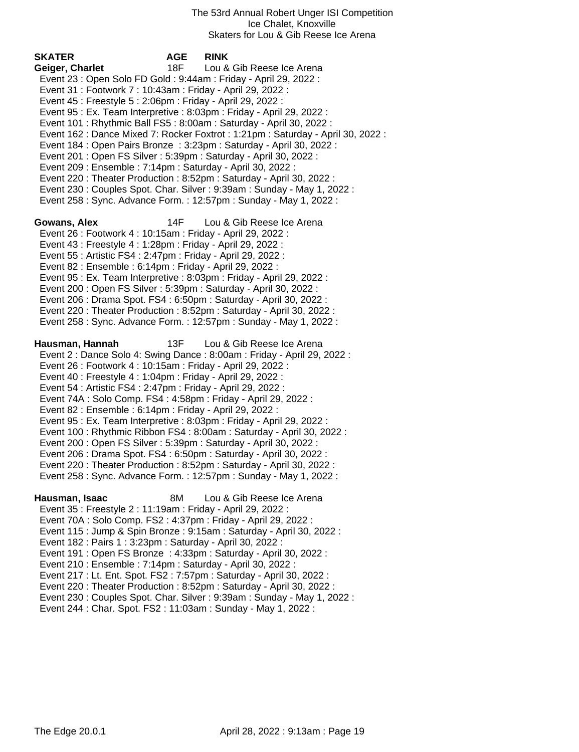| <b>SKATER</b><br>Geiger, Charlet<br>Event 23 : Open Solo FD Gold : 9:44am : Friday - April 29, 2022 :<br>Event 31: Footwork 7: 10:43am: Friday - April 29, 2022:<br>Event 45 : Freestyle 5 : 2:06pm : Friday - April 29, 2022 :<br>Event 201 : Open FS Silver : 5:39pm : Saturday - April 30, 2022 :<br>Event 209 : Ensemble : 7:14pm : Saturday - April 30, 2022 :                                               | <b>AGE</b><br>18F | <b>RINK</b><br>Lou & Gib Reese Ice Arena<br>Event 95 : Ex. Team Interpretive : 8:03pm : Friday - April 29, 2022 :<br>Event 101 : Rhythmic Ball FS5 : 8:00am : Saturday - April 30, 2022 :<br>Event 162 : Dance Mixed 7: Rocker Foxtrot : 1:21pm : Saturday - April 30, 2022 :<br>Event 184 : Open Pairs Bronze : 3:23pm : Saturday - April 30, 2022 :<br>Event 220 : Theater Production : 8:52pm : Saturday - April 30, 2022 :<br>Event 230 : Couples Spot. Char. Silver : 9:39am : Sunday - May 1, 2022 :<br>Event 258 : Sync. Advance Form. : 12:57pm : Sunday - May 1, 2022 : |
|-------------------------------------------------------------------------------------------------------------------------------------------------------------------------------------------------------------------------------------------------------------------------------------------------------------------------------------------------------------------------------------------------------------------|-------------------|----------------------------------------------------------------------------------------------------------------------------------------------------------------------------------------------------------------------------------------------------------------------------------------------------------------------------------------------------------------------------------------------------------------------------------------------------------------------------------------------------------------------------------------------------------------------------------|
| Gowans, Alex<br>Event 26 : Footwork 4 : 10:15am : Friday - April 29, 2022 :<br>Event 43 : Freestyle 4 : 1:28pm : Friday - April 29, 2022 :<br>Event 55: Artistic FS4: 2:47pm: Friday - April 29, 2022:<br>Event 82 : Ensemble : 6:14pm : Friday - April 29, 2022 :<br>Event 200 : Open FS Silver : 5:39pm : Saturday - April 30, 2022 :                                                                           | 14F               | Lou & Gib Reese Ice Arena<br>Event 95 : Ex. Team Interpretive : 8:03pm : Friday - April 29, 2022 :<br>Event 206 : Drama Spot. FS4 : 6:50pm : Saturday - April 30, 2022 :<br>Event 220 : Theater Production : 8:52pm : Saturday - April 30, 2022 :<br>Event 258 : Sync. Advance Form. : 12:57pm : Sunday - May 1, 2022 :                                                                                                                                                                                                                                                          |
| Hausman, Hannah<br>Event 26 : Footwork 4 : 10:15am : Friday - April 29, 2022 :<br>Event 40 : Freestyle 4 : 1:04pm : Friday - April 29, 2022 :<br>Event 54 : Artistic FS4 : 2:47pm : Friday - April 29, 2022 :<br>Event 74A : Solo Comp. FS4 : 4:58pm : Friday - April 29, 2022 :<br>Event 82 : Ensemble : 6:14pm : Friday - April 29, 2022 :<br>Event 200 : Open FS Silver : 5:39pm : Saturday - April 30, 2022 : | 13F               | Lou & Gib Reese Ice Arena<br>Event 2: Dance Solo 4: Swing Dance: 8:00am: Friday - April 29, 2022:<br>Event 95 : Ex. Team Interpretive : 8:03pm : Friday - April 29, 2022 :<br>Event 100 : Rhythmic Ribbon FS4 : 8:00am : Saturday - April 30, 2022 :<br>Event 206 : Drama Spot. FS4 : 6:50pm : Saturday - April 30, 2022 :<br>Event 220: Theater Production: 8:52pm: Saturday - April 30, 2022:<br>Event 258 : Sync. Advance Form. : 12:57pm : Sunday - May 1, 2022 :                                                                                                            |
| Hausman, Isaac<br>Event 35 : Freestyle 2 : 11:19am : Friday - April 29, 2022 :<br>Event 70A : Solo Comp. FS2 : 4:37pm : Friday - April 29, 2022 :<br>Event 182 : Pairs 1 : 3:23pm : Saturday - April 30, 2022 :<br>Event 210 : Ensemble : 7:14pm : Saturday - April 30, 2022 :<br>Event 244 : Char. Spot. FS2 : 11:03am : Sunday - May 1, 2022 :                                                                  | 8M                | Lou & Gib Reese Ice Arena<br>Event 115 : Jump & Spin Bronze : 9:15am : Saturday - April 30, 2022 :<br>Event 191 : Open FS Bronze : 4:33pm : Saturday - April 30, 2022 :<br>Event 217 : Lt. Ent. Spot. FS2 : 7:57pm : Saturday - April 30, 2022 :<br>Event 220 : Theater Production : 8:52pm : Saturday - April 30, 2022 :<br>Event 230 : Couples Spot. Char. Silver : 9:39am : Sunday - May 1, 2022 :                                                                                                                                                                            |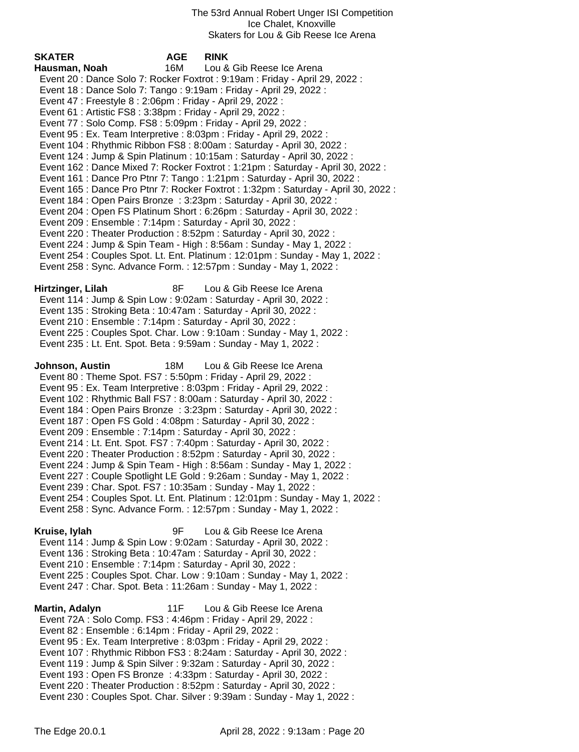| <b>SKATER</b>                                                   | <b>AGE</b> | <b>RINK</b>                                                                         |
|-----------------------------------------------------------------|------------|-------------------------------------------------------------------------------------|
| Hausman, Noah                                                   | 16M        | Lou & Gib Reese Ice Arena                                                           |
|                                                                 |            | Event 20: Dance Solo 7: Rocker Foxtrot: 9:19am: Friday - April 29, 2022:            |
|                                                                 |            | Event 18 : Dance Solo 7: Tango : 9:19am : Friday - April 29, 2022 :                 |
| Event 47 : Freestyle 8 : 2:06pm : Friday - April 29, 2022 :     |            |                                                                                     |
| Event 61: Artistic FS8: 3:38pm: Friday - April 29, 2022:        |            |                                                                                     |
| Event 77: Solo Comp. FS8: 5:09pm: Friday - April 29, 2022:      |            |                                                                                     |
|                                                                 |            | Event 95 : Ex. Team Interpretive : 8:03pm : Friday - April 29, 2022 :               |
|                                                                 |            | Event 104 : Rhythmic Ribbon FS8 : 8:00am : Saturday - April 30, 2022 :              |
|                                                                 |            | Event 124 : Jump & Spin Platinum : 10:15am : Saturday - April 30, 2022 :            |
|                                                                 |            | Event 162 : Dance Mixed 7: Rocker Foxtrot : 1:21pm : Saturday - April 30, 2022 :    |
|                                                                 |            | Event 161 : Dance Pro Ptnr 7: Tango : 1:21pm : Saturday - April 30, 2022 :          |
|                                                                 |            | Event 165 : Dance Pro Ptnr 7: Rocker Foxtrot : 1:32pm : Saturday - April 30, 2022 : |
|                                                                 |            | Event 184 : Open Pairs Bronze : 3:23pm : Saturday - April 30, 2022 :                |
|                                                                 |            | Event 204 : Open FS Platinum Short : 6:26pm : Saturday - April 30, 2022 :           |
| Event 209 : Ensemble : 7:14pm : Saturday - April 30, 2022 :     |            |                                                                                     |
|                                                                 |            | Event 220: Theater Production: 8:52pm: Saturday - April 30, 2022:                   |
|                                                                 |            | Event 224 : Jump & Spin Team - High : 8:56am : Sunday - May 1, 2022 :               |
|                                                                 |            | Event 254 : Couples Spot. Lt. Ent. Platinum : 12:01pm : Sunday - May 1, 2022 :      |
|                                                                 |            | Event 258 : Sync. Advance Form. : 12:57pm : Sunday - May 1, 2022 :                  |
| Hirtzinger, Lilah                                               | 8F         | Lou & Gib Reese Ice Arena                                                           |
|                                                                 |            | Event 114 : Jump & Spin Low : 9:02am : Saturday - April 30, 2022 :                  |
|                                                                 |            | Event 135: Stroking Beta: 10:47am: Saturday - April 30, 2022:                       |
| Event 210 : Ensemble : 7:14pm : Saturday - April 30, 2022 :     |            |                                                                                     |
|                                                                 |            | Event 225 : Couples Spot. Char. Low : 9:10am : Sunday - May 1, 2022 :               |
|                                                                 |            | Event 235 : Lt. Ent. Spot. Beta : 9:59am : Sunday - May 1, 2022 :                   |
|                                                                 |            |                                                                                     |
| Johnson, Austin                                                 | 18M        | Lou & Gib Reese Ice Arena                                                           |
| Event 80 : Theme Spot. FS7 : 5:50pm : Friday - April 29, 2022 : |            |                                                                                     |
|                                                                 |            | Event 95 : Ex. Team Interpretive : 8:03pm : Friday - April 29, 2022 :               |
|                                                                 |            | Event 102 : Rhythmic Ball FS7 : 8:00am : Saturday - April 30, 2022 :                |
|                                                                 |            | Event 184 : Open Pairs Bronze : 3:23pm : Saturday - April 30, 2022 :                |
| Event 187 : Open FS Gold : 4:08pm : Saturday - April 30, 2022 : |            |                                                                                     |
| Event 209 : Ensemble : 7:14pm : Saturday - April 30, 2022 :     |            |                                                                                     |
|                                                                 |            | Event 214 : Lt. Ent. Spot. FS7 : 7:40pm : Saturday - April 30, 2022 :               |
|                                                                 |            | Event 220 : Theater Production : 8:52pm : Saturday - April 30, 2022 :               |
|                                                                 |            | Event 224 : Jump & Spin Team - High : 8:56am : Sunday - May 1, 2022 :               |
|                                                                 |            | Event 227 : Couple Spotlight LE Gold : 9:26am : Sunday - May 1, 2022 :              |
| Event 239: Char. Spot. FS7: 10:35am: Sunday - May 1, 2022:      |            | Event 254 : Couples Spot. Lt. Ent. Platinum : 12:01pm : Sunday - May 1, 2022 :      |
|                                                                 |            | Event 258 : Sync. Advance Form. : 12:57pm : Sunday - May 1, 2022 :                  |
|                                                                 |            |                                                                                     |
| Kruise, lylah                                                   | 9F         | Lou & Gib Reese Ice Arena                                                           |
|                                                                 |            | Event 114 : Jump & Spin Low : 9:02am : Saturday - April 30, 2022 :                  |
|                                                                 |            | Event 136 : Stroking Beta : 10:47am : Saturday - April 30, 2022 :                   |
| Event 210 : Ensemble : 7:14pm : Saturday - April 30, 2022 :     |            |                                                                                     |
|                                                                 |            | Event 225 : Couples Spot. Char. Low : 9:10am : Sunday - May 1, 2022 :               |
|                                                                 |            | Event 247: Char. Spot. Beta: 11:26am: Sunday - May 1, 2022:                         |
|                                                                 |            |                                                                                     |
| Martin, Adalyn                                                  | 11F        | Lou & Gib Reese Ice Arena                                                           |
| Event 72A : Solo Comp. FS3 : 4:46pm : Friday - April 29, 2022 : |            |                                                                                     |
| Event 82 : Ensemble : 6:14pm : Friday - April 29, 2022 :        |            |                                                                                     |
|                                                                 |            | Event 95 : Ex. Team Interpretive : 8:03pm : Friday - April 29, 2022 :               |
|                                                                 |            | Event 107: Rhythmic Ribbon FS3: 8:24am: Saturday - April 30, 2022:                  |
|                                                                 |            | Event 119 : Jump & Spin Silver : 9:32am : Saturday - April 30, 2022 :               |

- Event 193 : Open FS Bronze : 4:33pm : Saturday April 30, 2022 :
- Event 220 : Theater Production : 8:52pm : Saturday April 30, 2022 :
- Event 230 : Couples Spot. Char. Silver : 9:39am : Sunday May 1, 2022 :